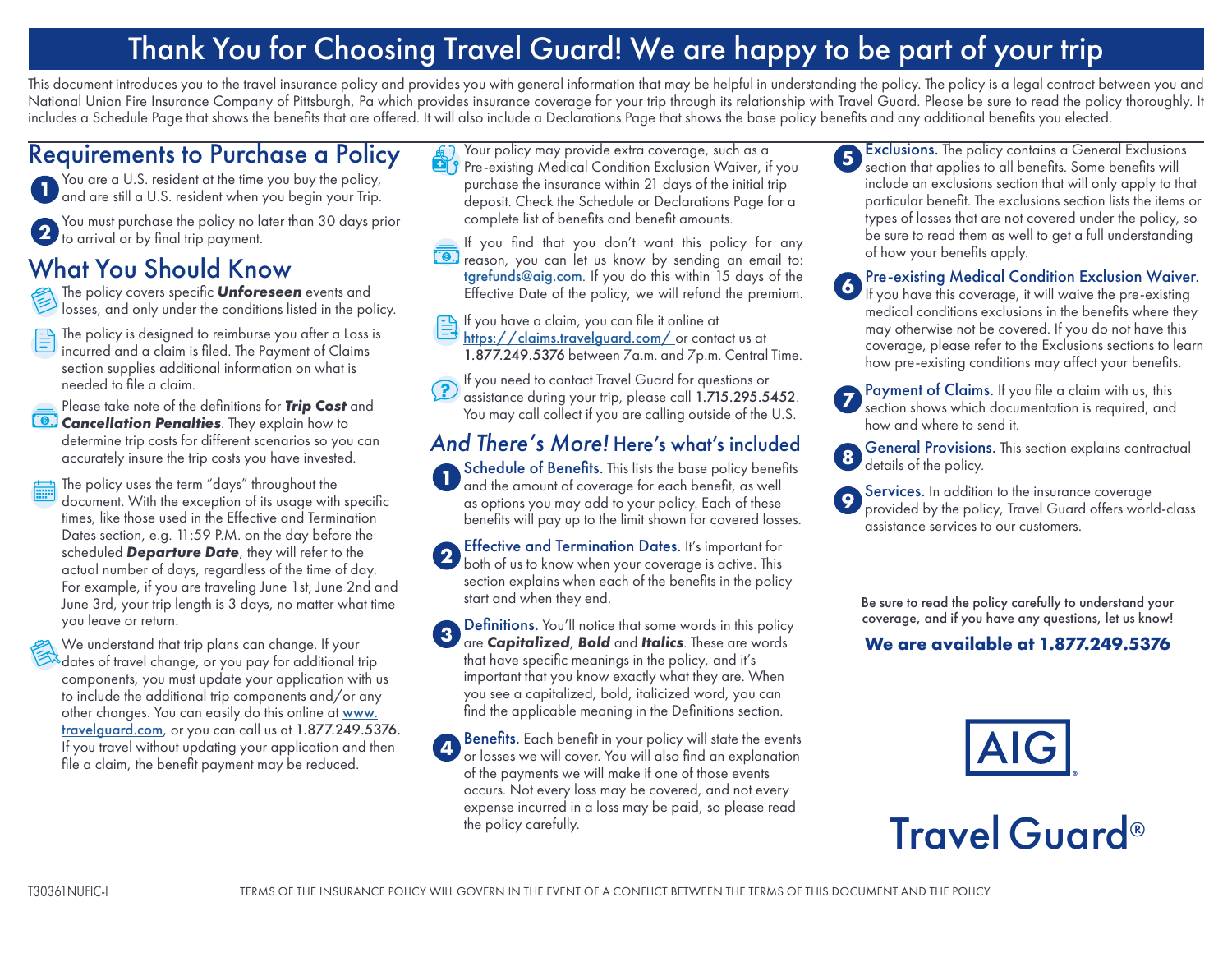## Thank You for Choosing Travel Guard! We are happy to be part of your trip

This document introduces you to the travel insurance policy and provides you with general information that may be helpful in understanding the policy. The policy is a legal contract between you and National Union Fire Insurance Company of Pittsburgh, Pa which provides insurance coverage for your trip through its relationship with Travel Guard. Please be sure to read the policy thoroughly. It includes a Schedule Page that shows the benefits that are offered. It will also include a Declarations Page that shows the base policy benefits and any additional benefits you elected.

## Requirements to Purchase a Policy

You are a U.S. resident at the time you buy the policy, **<sup>1</sup>** and are still a U.S. resident when you begin your Trip.

You must purchase the policy no later than 30 days prior **<sup>2</sup>** to arrival or by final trip payment.

## What You Should Know

- The policy covers specific *Unforeseen* events and losses, and only under the conditions listed in the policy.
- The policy is designed to reimburse you after a Loss is 曾 incurred and a claim is filed. The Payment of Claims section supplies additional information on what is needed to file a claim.

Please take note of the definitions for *Trip Cost* and **Cancellation Penalties**. They explain how to determine trip costs for different scenarios so you can accurately insure the trip costs you have invested.

- The policy uses the term "days" throughout the document. With the exception of its usage with specific times, like those used in the Effective and Termination Dates section, e.g. 11:59 P.M. on the day before the scheduled *Departure Date*, they will refer to the actual number of days, regardless of the time of day. For example, if you are traveling June 1st, June 2nd and June 3rd, your trip length is 3 days, no matter what time you leave or return.
- We understand that trip plans can change. If your We understand that the prains can example the dates of travel change, or you pay for additional trip<br>dates of travel change, or you pay for additional trip components, you must update your application with us to include the additional trip components and/or any other changes. You can easily do this online at [www.](http://www.travelguard.com) [travelguard.com](http://www.travelguard.com), or you can call us at 1.877.249.5376. If you travel without updating your application and then file a claim, the benefit payment may be reduced.
- Your policy may provide extra coverage, such as a **Pre-existing Medical Condition Exclusion Waiver, if you** purchase the insurance within 21 days of the initial trip deposit. Check the Schedule or Declarations Page for a complete list of benefits and benefit amounts.
- If you find that you don't want this policy for any **10.** reason, you can let us know by sending an email to: tgrefund[s@aig.com](mailto:tgrefunds%40aig.com?subject=). If you do this within 15 days of the Effective Date of the policy, we will refund the premium.
- If you have a claim, you can file it online at
- <https://claims.travelguard.com/> or contact us at 1.877.249.5376 between 7a.m. and 7p.m. Central Time.
- If you need to contact Travel Guard for questions or  $\left( \frac{3}{2} \right)$ assistance during your trip, please call 1.715.295.5452. You may call collect if you are calling outside of the U.S.

## *And There's More!* Here's what's included

Schedule of Benefits. This lists the base policy benefits and the amount of coverage for each benefit, as well as options you may add to your policy. Each of these benefits will pay up to the limit shown for covered losses. **1**

Effective and Termination Dates. It's important for **2 Exercise and Termination Dates.** It's important for both of us to know when your coverage is active. This section explains when each of the benefits in the policy start and when they end.

Definitions. You'll notice that some words in this policy are *Capitalized*, *Bold* and *Italics*. These are words that have specific meanings in the policy, and it's important that you know exactly what they are. When you see a capitalized, bold, italicized word, you can find the applicable meaning in the Definitions section. **3**

Benefits. Each benefit in your policy will state the events or losses we will cover. You will also find an explanation of the payments we will make if one of those events occurs. Not every loss may be covered, and not every expense incurred in a loss may be paid, so please read the policy carefully. **4**

- Exclusions. The policy contains a General Exclusions **5** Exclusions. The policy contains a General Exclusions section that applies to all benefits. Some benefits will include an exclusions section that will only apply to that particular benefit. The exclusions section lists the items or types of losses that are not covered under the policy, so be sure to read them as well to get a full understanding of how your benefits apply.
- Pre-existing Medical Condition Exclusion Waiver. **6** If you have this coverage, it will waive the pre-existing medical conditions exclusions in the benefits where they may otherwise not be covered. If you do not have this coverage, please refer to the Exclusions sections to learn how pre-existing conditions may affect your benefits.
- Payment of Claims. If you file a claim with us, this **7 Section** shows which documentation is required, and how and where to send it.
- General Provisions. This section explains contractual **<sup>8</sup>** details of the policy.
- Services. In addition to the insurance coverage provided by the policy, Travel Guard offers world-class assistance services to our customers. **9**

Be sure to read the policy carefully to understand your coverage, and if you have any questions, let us know!

## **We are available at 1.877.249.5376**

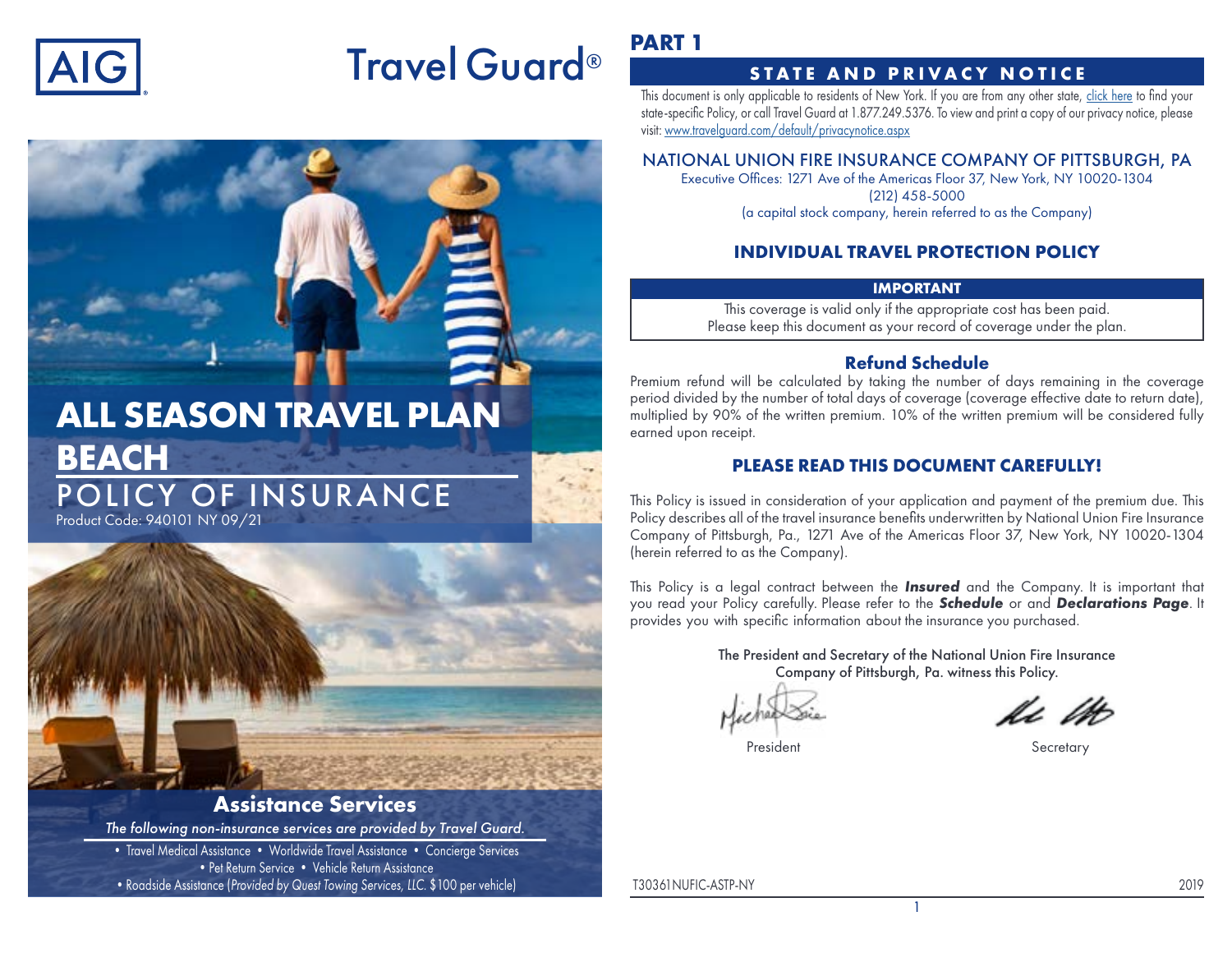

# Travel Guard®

# **ALL SEASON TRAVEL PLAN BEACH** POLICY OF INSURANCE

Product Code: 940101 NY 09/21



## **Assistance Services**

*The following non-insurance services are provided by Travel Guard.*

• Travel Medical Assistance • Worldwide Travel Assistance • Concierge Services • Pet Return Service • Vehicle Return Assistance •Roadside Assistance (*Provided by Quest Towing Services, LLC.* \$100 per vehicle)

## **PART 1**

## **STATE AND PRIVACY NOTICE**

This document is only applicable to residents of New York. If you are from any other state, [click here](https://webservices.travelguard.com/Product/FileRetrieval.aspx?CountryCode=US&StateCode=AL&ProductCode=940101&PlanCode=NW&FileType=PROD_PLAN_GM) to find your state-specific Policy, or call Travel Guard at 1.877.249.5376. To view and print a copy of our privacy notice, please visit: [www.travelguard.com/default/privacynotice.aspx](http://www.travelguard.com/default/privacynotice.aspx)

## NATIONAL UNION FIRE INSURANCE COMPANY OF PITTSBURGH, PA

Executive Offices: 1271 Ave of the Americas Floor 37, New York, NY 10020-1304 (212) 458-5000 (a capital stock company, herein referred to as the Company)

## **INDIVIDUAL TRAVEL PROTECTION POLICY**

## **IMPORTANT**

This coverage is valid only if the appropriate cost has been paid. Please keep this document as your record of coverage under the plan.

## **Refund Schedule**

Premium refund will be calculated by taking the number of days remaining in the coverage period divided by the number of total days of coverage (coverage effective date to return date), multiplied by 90% of the written premium. 10% of the written premium will be considered fully earned upon receipt.

## **PLEASE READ THIS DOCUMENT CAREFULLY!**

This Policy is issued in consideration of your application and payment of the premium due. This Policy describes all of the travel insurance benefits underwritten by National Union Fire Insurance Company of Pittsburgh, Pa., 1271 Ave of the Americas Floor 37, New York, NY 10020-1304 (herein referred to as the Company).

This Policy is a legal contract between the *Insured* and the Company. It is important that you read your Policy carefully. Please refer to the *Schedule* or and *Declarations Page*. It provides you with specific information about the insurance you purchased.

> The President and Secretary of the National Union Fire Insurance Company of Pittsburgh, Pa. witness this Policy.

> > 1

President Secretary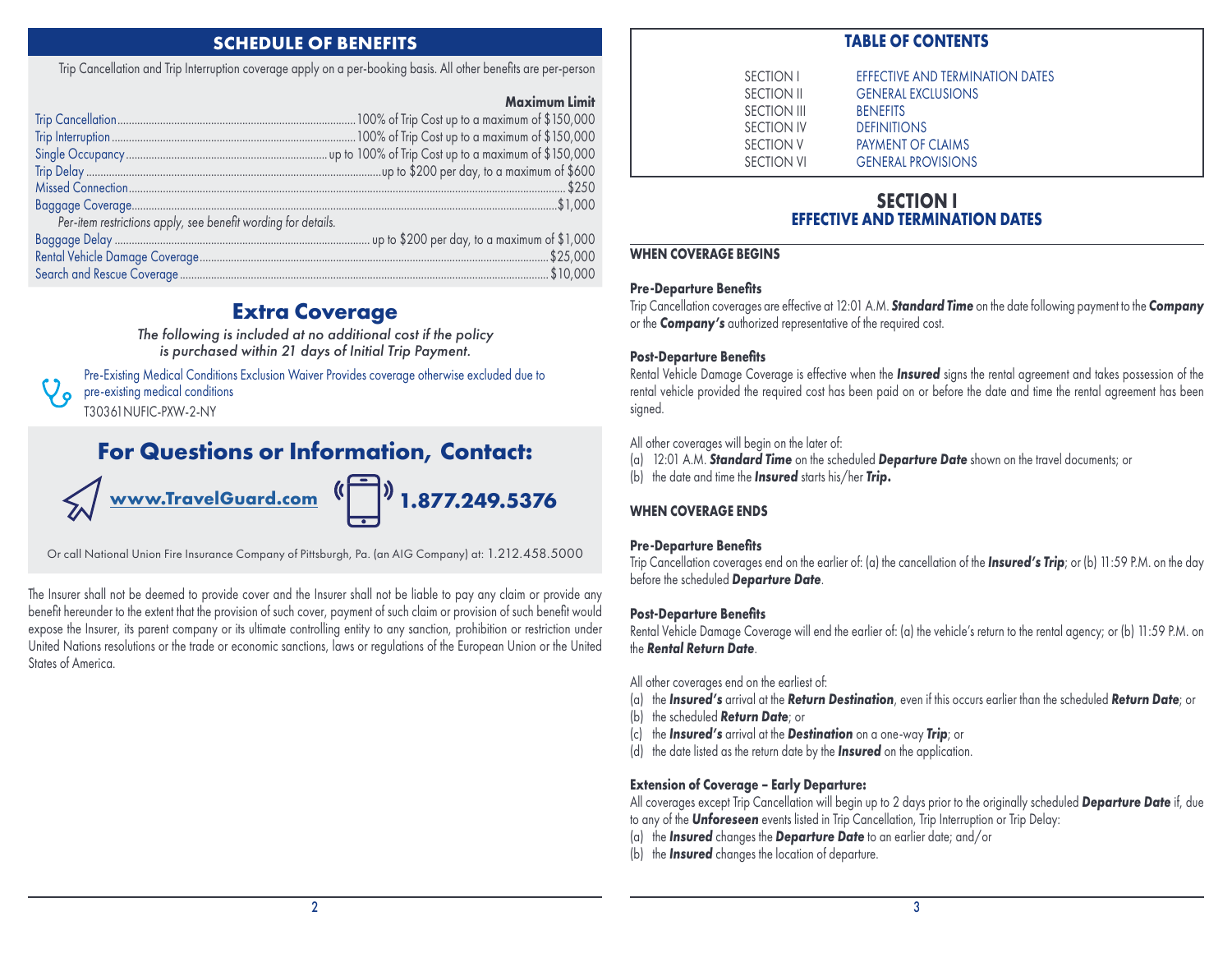## **SCHEDULE OF BENEFITS**

Trip Cancellation and Trip Interruption coverage apply on a per-booking basis. All other benefits are per-person

#### **Maximum Limit**

| Per-item restrictions apply, see benefit wording for details. |  |
|---------------------------------------------------------------|--|
|                                                               |  |
|                                                               |  |
|                                                               |  |

## **Extra Coverage**

*The following is included at no additional cost if the policy is purchased within 21 days of Initial Trip Payment.*

Pre-Existing Medical Conditions Exclusion Waiver Provides coverage otherwise excluded due to pre-existing medical conditions ہ / T30361NUFIC-PXW-2-NY

## **For Questions or Information, Contact:**

$$
\bigotimes \text{www. TravelGuard.com} \xrightarrow{\left(\begin{matrix} \begin{matrix} 1 \\ 1 \end{matrix} \right)} 1.877.249.5376
$$

Or call National Union Fire Insurance Company of Pittsburgh, Pa. (an AIG Company) at: 1.212.458.5000

The Insurer shall not be deemed to provide cover and the Insurer shall not be liable to pay any claim or provide any benefit hereunder to the extent that the provision of such cover, payment of such claim or provision of such benefit would expose the Insurer, its parent company or its ultimate controlling entity to any sanction, prohibition or restriction under United Nations resolutions or the trade or economic sanctions, laws or regulations of the European Union or the United States of America.

## **TABLE OF CONTENTS**

| EFFECTIVE AND TERMINATION DATES |
|---------------------------------|
| <b>GENERAL EXCLUSIONS</b>       |
| <b>BENFFITS</b>                 |
| <b>DEFINITIONS</b>              |
| PAYMENT OF CLAIMS               |
| <b>GENERAL PROVISIONS</b>       |
|                                 |

## **SECTION I EFFECTIVE AND TERMINATION DATES**

#### **WHEN COVERAGE BEGINS**

#### **Pre-Departure Benefits**

Trip Cancellation coverages are effective at 12:01 A.M. *Standard Time* on the date following payment to the *Company* or the *Company's* authorized representative of the required cost.

#### **Post-Departure Benefits**

Rental Vehicle Damage Coverage is effective when the *Insured* signs the rental agreement and takes possession of the rental vehicle provided the required cost has been paid on or before the date and time the rental agreement has been signed.

#### All other coverages will begin on the later of:

(a) 12:01 A.M. *Standard Time* on the scheduled *Departure Date* shown on the travel documents; or (b) the date and time the *Insured* starts his/her *Trip.*

#### **WHEN COVERAGE ENDS**

#### **Pre-Departure Benefits**

Trip Cancellation coverages end on the earlier of: (a) the cancellation of the *Insured's Trip*; or (b) 11:59 P.M. on the day before the scheduled *Departure Date*.

#### **Post-Departure Benefits**

Rental Vehicle Damage Coverage will end the earlier of: (a) the vehicle's return to the rental agency; or (b) 11:59 P.M. on the *Rental Return Date*.

- All other coverages end on the earliest of:
- (a) the *Insured's* arrival at the *Return Destination*, even if this occurs earlier than the scheduled *Return Date*; or
- (b) the scheduled *Return Date*; or
- (c) the *Insured's* arrival at the *Destination* on a one-way *Trip*; or
- (d) the date listed as the return date by the *Insured* on the application.

#### **Extension of Coverage – Early Departure:**

All coverages except Trip Cancellation will begin up to 2 days prior to the originally scheduled *Departure Date* if, due to any of the *Unforeseen* events listed in Trip Cancellation, Trip Interruption or Trip Delay:

- (a) the *Insured* changes the *Departure Date* to an earlier date; and/or
- (b) the *Insured* changes the location of departure.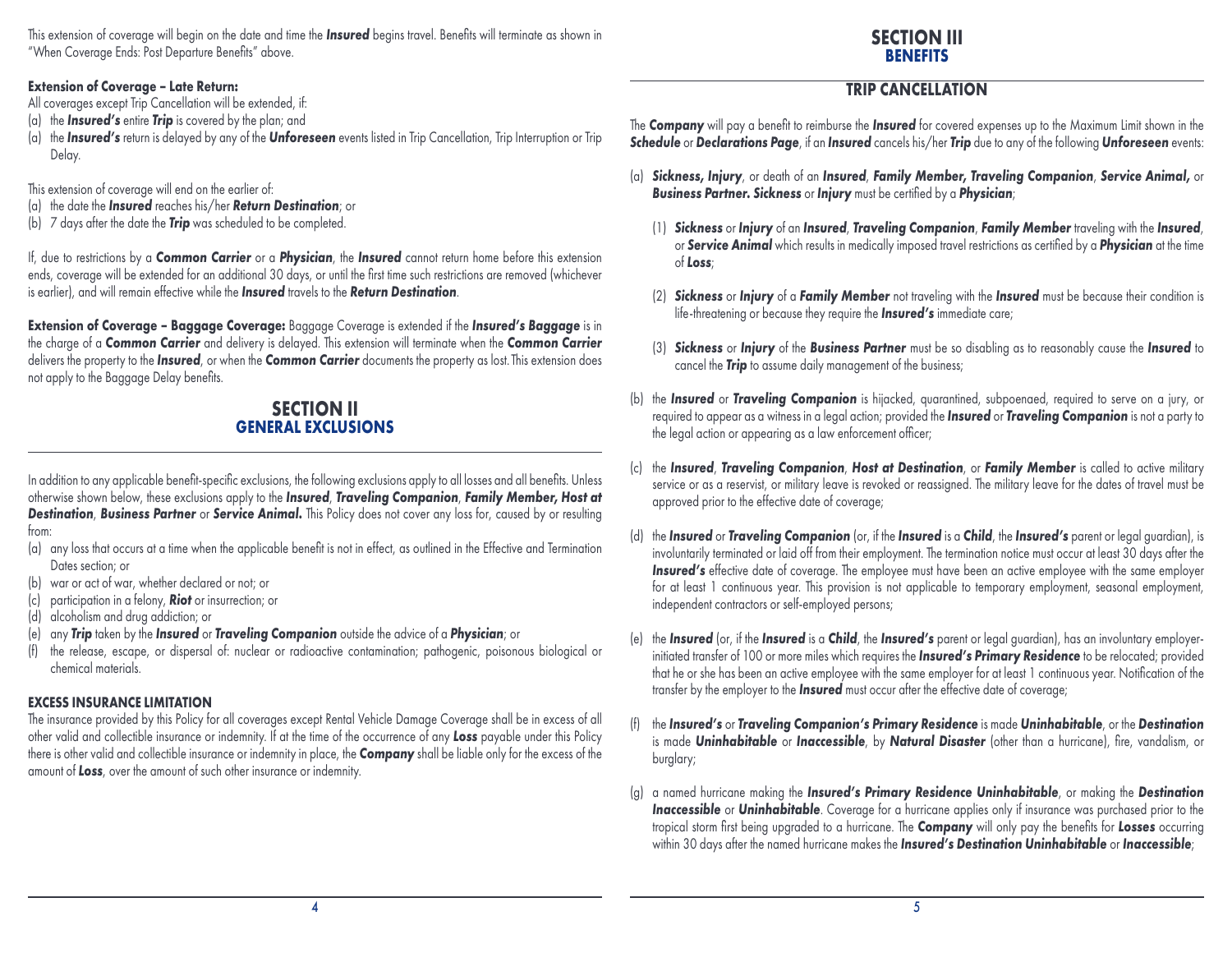This extension of coverage will begin on the date and time the *Insured* begins travel. Benefits will terminate as shown in "When Coverage Ends: Post Departure Benefits" above.

## **SECTION III BENEFITS**

#### **Extension of Coverage – Late Return:**

All coverages except Trip Cancellation will be extended, if:

- (a) the *Insured's* entire *Trip* is covered by the plan; and
- (a) the *Insured's* return is delayed by any of the *Unforeseen* events listed in Trip Cancellation, Trip Interruption or Trip Delay.
- This extension of coverage will end on the earlier of:
- (a) the date the *Insured* reaches his/her *Return Destination*; or
- (b) 7 days after the date the *Trip* was scheduled to be completed.

If, due to restrictions by a *Common Carrier* or a *Physician*, the *Insured* cannot return home before this extension ends, coverage will be extended for an additional 30 days, or until the first time such restrictions are removed (whichever is earlier), and will remain effective while the *Insured* travels to the *Return Destination*.

**Extension of Coverage – Baggage Coverage:** Baggage Coverage is extended if the *Insured's Baggage* is in the charge of a *Common Carrier* and delivery is delayed. This extension will terminate when the *Common Carrier* delivers the property to the *Insured*, or when the *Common Carrier* documents the property as lost. This extension does not apply to the Baggage Delay benefits.

## **SECTION II GENERAL EXCLUSIONS**

In addition to any applicable benefit-specific exclusions, the following exclusions apply to all losses and all benefits. Unless otherwise shown below, these exclusions apply to the *Insured*, *Traveling Companion*, *Family Member, Host at Destination*, *Business Partner* or *Service Animal.* This Policy does not cover any loss for, caused by or resulting from:

- (a) any loss that occurs at a time when the applicable benefit is not in effect, as outlined in the Effective and Termination Dates section; or
- (b) war or act of war, whether declared or not; or
- (c) participation in a felony, *Riot* or insurrection; or
- (d) alcoholism and drug addiction; or
- (e) any *Trip* taken by the *Insured* or *Traveling Companion* outside the advice of a *Physician*; or
- (f) the release, escape, or dispersal of: nuclear or radioactive contamination; pathogenic, poisonous biological or chemical materials.

## **EXCESS INSURANCE LIMITATION**

The insurance provided by this Policy for all coverages except Rental Vehicle Damage Coverage shall be in excess of all other valid and collectible insurance or indemnity. If at the time of the occurrence of any *Loss* payable under this Policy there is other valid and collectible insurance or indemnity in place, the *Company* shall be liable only for the excess of the amount of *Loss*, over the amount of such other insurance or indemnity.

## **TRIP CANCELLATION**

The *Company* will pay a benefit to reimburse the *Insured* for covered expenses up to the Maximum Limit shown in the *Schedule* or *Declarations Page*, if an *Insured* cancels his/her *Trip* due to any of the following *Unforeseen* events:

- (a) *Sickness, Injury*, or death of an *Insured*, *Family Member, Traveling Companion*, *Service Animal,* or *Business Partner. Sickness* or *Injury* must be certified by a *Physician*;
	- (1) *Sickness* or *Injury* of an *Insured*, *Traveling Companion*, *Family Member* traveling with the *Insured*, or *Service Animal* which results in medically imposed travel restrictions as certified by a *Physician* at the time of *Loss*;
	- (2) *Sickness* or *Injury* of a *Family Member* not traveling with the *Insured* must be because their condition is life-threatening or because they require the *Insured's* immediate care;
	- (3) *Sickness* or *Injury* of the *Business Partner* must be so disabling as to reasonably cause the *Insured* to cancel the *Trip* to assume daily management of the business;
- (b) the *Insured* or *Traveling Companion* is hijacked, quarantined, subpoenaed, required to serve on a jury, or required to appear as a witness in a legal action; provided the *Insured* or *Traveling Companion* is not a party to the legal action or appearing as a law enforcement officer;
- (c) the *Insured*, *Traveling Companion*, *Host at Destination*, or *Family Member* is called to active military service or as a reservist, or military leave is revoked or reassigned. The military leave for the dates of travel must be approved prior to the effective date of coverage;
- the *Insured* or *Traveling Companion* (or, if the *Insured* is a *Child*, the *Insured's* parent or legal guardian), is involuntarily terminated or laid off from their employment. The termination notice must occur at least 30 days after the Insured's effective date of coverage. The employee must have been an active employee with the same employer for at least 1 continuous year. This provision is not applicable to temporary employment, seasonal employment, independent contractors or self-employed persons;
- (e) the *Insured* (or, if the *Insured* is a *Child*, the *Insured's* parent or legal guardian), has an involuntary employerinitiated transfer of 100 or more miles which requires the *Insured's Primary Residence* to be relocated; provided that he or she has been an active employee with the same employer for at least 1 continuous year. Notification of the transfer by the employer to the *Insured* must occur after the effective date of coverage;
- (f) the *Insured's* or *Traveling Companion's Primary Residence* is made *Uninhabitable*, or the *Destination* is made *Uninhabitable* or *Inaccessible*, by *Natural Disaster* (other than a hurricane), fire, vandalism, or burglary;
- (g) a named hurricane making the *Insured's Primary Residence Uninhabitable*, or making the *Destination Inaccessible* or *Uninhabitable*. Coverage for a hurricane applies only if insurance was purchased prior to the tropical storm first being upgraded to a hurricane. The *Company* will only pay the benefits for *Losses* occurring within 30 days after the named hurricane makes the *Insured's Destination Uninhabitable* or *Inaccessible*;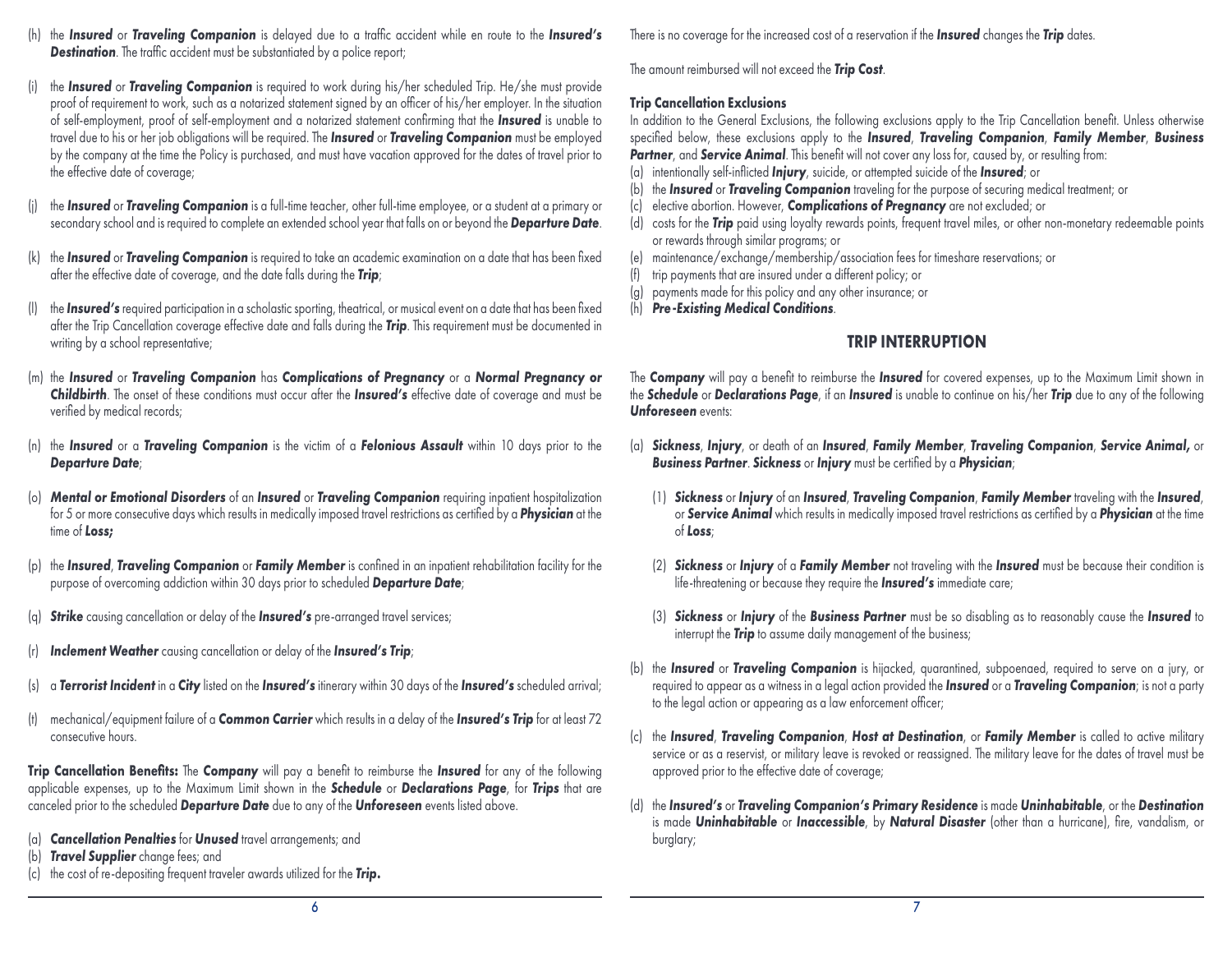- (h) the *Insured* or *Traveling Companion* is delayed due to a traffic accident while en route to the *Insured's* **Destination**. The traffic accident must be substantiated by a police report;
- (i) the *Insured* or *Traveling Companion* is required to work during his/her scheduled Trip. He/she must provide proof of requirement to work, such as a notarized statement signed by an officer of his/her employer. In the situation of self-employment, proof of self-employment and a notarized statement confirming that the *Insured* is unable to travel due to his or her job obligations will be required. The *Insured* or *Traveling Companion* must be employed by the company at the time the Policy is purchased, and must have vacation approved for the dates of travel prior to the effective date of coverage;
- the *Insured* or *Traveling Companion* is a full-time teacher, other full-time employee, or a student at a primary or secondary school and is required to complete an extended school year that falls on or beyond the *Departure Date*.
- (k) the *Insured* or *Traveling Companion* is required to take an academic examination on a date that has been fixed after the effective date of coverage, and the date falls during the *Trip*;
- the *Insured's* required participation in a scholastic sporting, theatrical, or musical event on a date that has been fixed after the Trip Cancellation coverage effective date and falls during the *Trip*. This requirement must be documented in writing by a school representative;
- (m) the *Insured* or *Traveling Companion* has *Complications of Pregnancy* or a *Normal Pregnancy or Childbirth*. The onset of these conditions must occur after the *Insured's* effective date of coverage and must be verified by medical records;
- (n) the *Insured* or a *Traveling Companion* is the victim of a *Felonious Assault* within 10 days prior to the *Departure Date*;
- (o) *Mental or Emotional Disorders* of an *Insured* or *Traveling Companion* requiring inpatient hospitalization for 5 or more consecutive days which results in medically imposed travel restrictions as certified by a *Physician* at the time of *Loss;*
- (p) the *Insured*, *Traveling Companion* or *Family Member* is confined in an inpatient rehabilitation facility for the purpose of overcoming addiction within 30 days prior to scheduled *Departure Date*;
- (q) *Strike* causing cancellation or delay of the *Insured's* pre-arranged travel services;
- **Inclement Weather** causing cancellation or delay of the **Insured's Trip**;
- (s) a *Terrorist Incident* in a *City* listed on the *Insured's* itinerary within 30 days of the *Insured's* scheduled arrival;
- (t) mechanical/equipment failure of a *Common Carrier* which results in a delay of the *Insured's Trip* for at least 72 consecutive hours.

**Trip Cancellation Benefits:** The *Company* will pay a benefit to reimburse the *Insured* for any of the following applicable expenses, up to the Maximum Limit shown in the *Schedule* or *Declarations Page*, for *Trips* that are canceled prior to the scheduled *Departure Date* due to any of the *Unforeseen* events listed above.

- (a) *Cancellation Penalties* for *Unused* travel arrangements; and
- (b) *Travel Supplier* change fees; and
- (c) the cost of re-depositing frequent traveler awards utilized for the *Trip.*

There is no coverage for the increased cost of a reservation if the *Insured* changes the *Trip* dates.

The amount reimbursed will not exceed the *Trip Cost*.

#### **Trip Cancellation Exclusions**

In addition to the General Exclusions, the following exclusions apply to the Trip Cancellation benefit. Unless otherwise specified below, these exclusions apply to the *Insured*, *Traveling Companion*, *Family Member*, *Business*  **Partner**, and **Service Animal**. This benefit will not cover any loss for, caused by, or resulting from:

- (a) intentionally self-inflicted *Injury*, suicide, or attempted suicide of the *Insured*; or
- (b) the *Insured* or *Traveling Companion* traveling for the purpose of securing medical treatment; or
- (c) elective abortion. However, *Complications of Pregnancy* are not excluded; or
- (d) costs for the *Trip* paid using loyalty rewards points, frequent travel miles, or other non-monetary redeemable points or rewards through similar programs; or
- (e) maintenance/exchange/membership/association fees for timeshare reservations; or
- (f) trip payments that are insured under a different policy; or
- (g) payments made for this policy and any other insurance; or
- (h) *Pre-Existing Medical Conditions*.

## **TRIP INTERRUPTION**

The *Company* will pay a benefit to reimburse the *Insured* for covered expenses, up to the Maximum Limit shown in the *Schedule* or *Declarations Page*, if an *Insured* is unable to continue on his/her *Trip* due to any of the following *Unforeseen* events:

- (a) *Sickness*, *Injury*, or death of an *Insured*, *Family Member*, *Traveling Companion*, *Service Animal,* or *Business Partner*. *Sickness* or *Injury* must be certified by a *Physician*;
	- (1) *Sickness* or *Injury* of an *Insured*, *Traveling Companion*, *Family Member* traveling with the *Insured*, or *Service Animal* which results in medically imposed travel restrictions as certified by a *Physician* at the time of *Loss*;
	- (2) *Sickness* or *Injury* of a *Family Member* not traveling with the *Insured* must be because their condition is life-threatening or because they require the *Insured's* immediate care;
	- (3) *Sickness* or *Injury* of the *Business Partner* must be so disabling as to reasonably cause the *Insured* to interrupt the *Trip* to assume daily management of the business;
- (b) the *Insured* or *Traveling Companion* is hijacked, quarantined, subpoenaed, required to serve on a jury, or required to appear as a witness in a legal action provided the *Insured* or a *Traveling Companion*; is not a party to the legal action or appearing as a law enforcement officer;
- (c) the *Insured*, *Traveling Companion*, *Host at Destination*, or *Family Member* is called to active military service or as a reservist, or military leave is revoked or reassigned. The military leave for the dates of travel must be approved prior to the effective date of coverage;
- (d) the *Insured's* or *Traveling Companion's Primary Residence* is made *Uninhabitable*, or the *Destination* is made *Uninhabitable* or *Inaccessible*, by *Natural Disaster* (other than a hurricane), fire, vandalism, or burglary;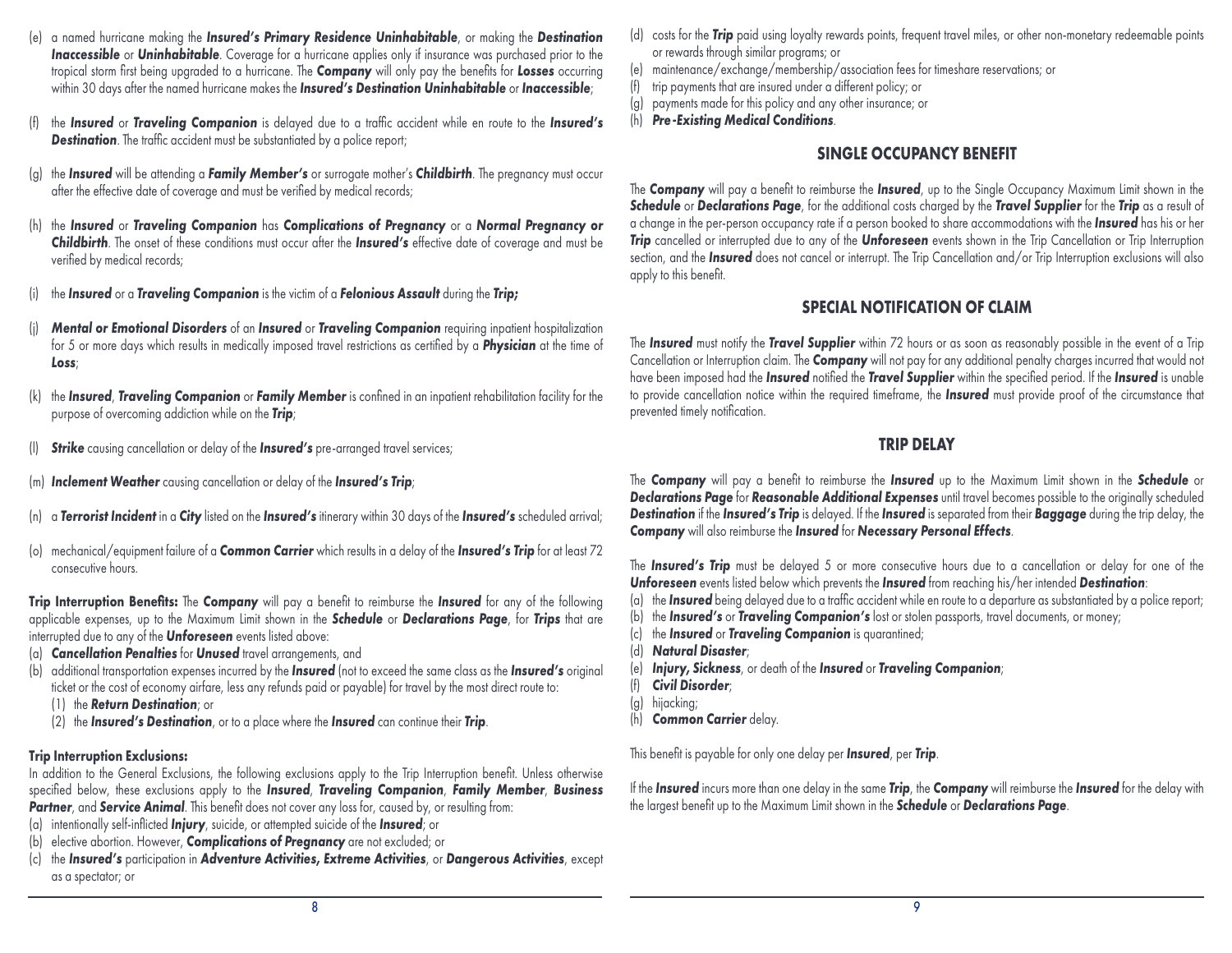- (e) a named hurricane making the *Insured's Primary Residence Uninhabitable*, or making the *Destination*  **Inaccessible** or **Uninhabitable**. Coverage for a hurricane applies only if insurance was purchased prior to the tropical storm first being upgraded to a hurricane. The *Company* will only pay the benefits for *Losses* occurring within 30 days after the named hurricane makes the *Insured's Destination Uninhabitable* or *Inaccessible*;
- (f) the *Insured* or *Traveling Companion* is delayed due to a traffic accident while en route to the *Insured's* **Destination**. The traffic accident must be substantiated by a police report;
- (g) the *Insured* will be attending a *Family Member's* or surrogate mother's *Childbirth*. The pregnancy must occur after the effective date of coverage and must be verified by medical records;
- (h) the *Insured* or *Traveling Companion* has *Complications of Pregnancy* or a *Normal Pregnancy or Childbirth*. The onset of these conditions must occur after the *Insured's* effective date of coverage and must be verified by medical records;
- (i) the *Insured* or a *Traveling Companion* is the victim of a *Felonious Assault* during the *Trip;*
- (j) *Mental or Emotional Disorders* of an *Insured* or *Traveling Companion* requiring inpatient hospitalization for 5 or more days which results in medically imposed travel restrictions as certified by a *Physician* at the time of *Loss*;
- (k) the *Insured*, *Traveling Companion* or *Family Member* is confined in an inpatient rehabilitation facility for the purpose of overcoming addiction while on the *Trip*;
- **Strike** causing cancellation or delay of the **Insured's** pre-arranged travel services;
- (m) *Inclement Weather* causing cancellation or delay of the *Insured's Trip*;
- (n) a *Terrorist Incident* in a *City* listed on the *Insured's* itinerary within 30 days of the *Insured's* scheduled arrival;
- (o) mechanical/equipment failure of a *Common Carrier* which results in a delay of the *Insured's Trip* for at least 72 consecutive hours.

**Trip Interruption Benefits:** The *Company* will pay a benefit to reimburse the *Insured* for any of the following applicable expenses, up to the Maximum Limit shown in the *Schedule* or *Declarations Page*, for *Trips* that are interrupted due to any of the *Unforeseen* events listed above:

- (a) *Cancellation Penalties* for *Unused* travel arrangements, and
- (b) additional transportation expenses incurred by the *Insured* (not to exceed the same class as the *Insured's* original ticket or the cost of economy airfare, less any refunds paid or payable) for travel by the most direct route to:
	- (1) the *Return Destination*; or
	- (2) the *Insured's Destination*, or to a place where the *Insured* can continue their *Trip*.

#### **Trip Interruption Exclusions:**

In addition to the General Exclusions, the following exclusions apply to the Trip Interruption benefit. Unless otherwise specified below, these exclusions apply to the *Insured*, *Traveling Companion*, *Family Member*, *Business Partner*, and *Service Animal*. This benefit does not cover any loss for, caused by, or resulting from:

- (a) intentionally self-inflicted *Injury*, suicide, or attempted suicide of the *Insured*; or
- (b) elective abortion. However, *Complications of Pregnancy* are not excluded; or
- (c) the *Insured's* participation in *Adventure Activities, Extreme Activities*, or *Dangerous Activities*, except as a spectator; or
- (d) costs for the *Trip* paid using loyalty rewards points, frequent travel miles, or other non-monetary redeemable points or rewards through similar programs; or
- (e) maintenance/exchange/membership/association fees for timeshare reservations; or
- (f) trip payments that are insured under a different policy; or
- (g) payments made for this policy and any other insurance; or
- (h) *Pre-Existing Medical Conditions*.

## **SINGLE OCCUPANCY BENEFIT**

The *Company* will pay a benefit to reimburse the *Insured*, up to the Single Occupancy Maximum Limit shown in the *Schedule* or *Declarations Page*, for the additional costs charged by the *Travel Supplier* for the *Trip* as a result of a change in the per-person occupancy rate if a person booked to share accommodations with the *Insured* has his or her *Trip* cancelled or interrupted due to any of the *Unforeseen* events shown in the Trip Cancellation or Trip Interruption section, and the *Insured* does not cancel or interrupt. The Trip Cancellation and/or Trip Interruption exclusions will also apply to this benefit.

## **SPECIAL NOTIFICATION OF CLAIM**

The *Insured* must notify the *Travel Supplier* within 72 hours or as soon as reasonably possible in the event of a Trip Cancellation or Interruption claim. The *Company* will not pay for any additional penalty charges incurred that would not have been imposed had the *Insured* notified the *Travel Supplier* within the specified period. If the *Insured* is unable to provide cancellation notice within the required timeframe, the *Insured* must provide proof of the circumstance that prevented timely notification.

## **TRIP DELAY**

The *Company* will pay a benefit to reimburse the *Insured* up to the Maximum Limit shown in the *Schedule* or *Declarations Page* for *Reasonable Additional Expenses* until travel becomes possible to the originally scheduled *Destination* if the *Insured's Trip* is delayed. If the *Insured* is separated from their *Baggage* during the trip delay, the *Company* will also reimburse the *Insured* for *Necessary Personal Effects*.

The **Insured's Trip** must be delayed 5 or more consecutive hours due to a cancellation or delay for one of the *Unforeseen* events listed below which prevents the *Insured* from reaching his/her intended *Destination*:

- (a) the *Insured* being delayed due to a traffic accident while en route to a departure as substantiated by a police report;
- (b) the *Insured's* or *Traveling Companion's* lost or stolen passports, travel documents, or money;
- (c) the *Insured* or *Traveling Companion* is quarantined;
- (d) *Natural Disaster*;
- (e) *Injury, Sickness*, or death of the *Insured* or *Traveling Companion*;
- (f) *Civil Disorder*;
- (g) hijacking;
- (h) *Common Carrier* delay.

This benefit is payable for only one delay per *Insured*, per *Trip*.

If the *Insured* incurs more than one delay in the same *Trip*, the *Company* will reimburse the *Insured* for the delay with the largest benefit up to the Maximum Limit shown in the *Schedule* or *Declarations Page*.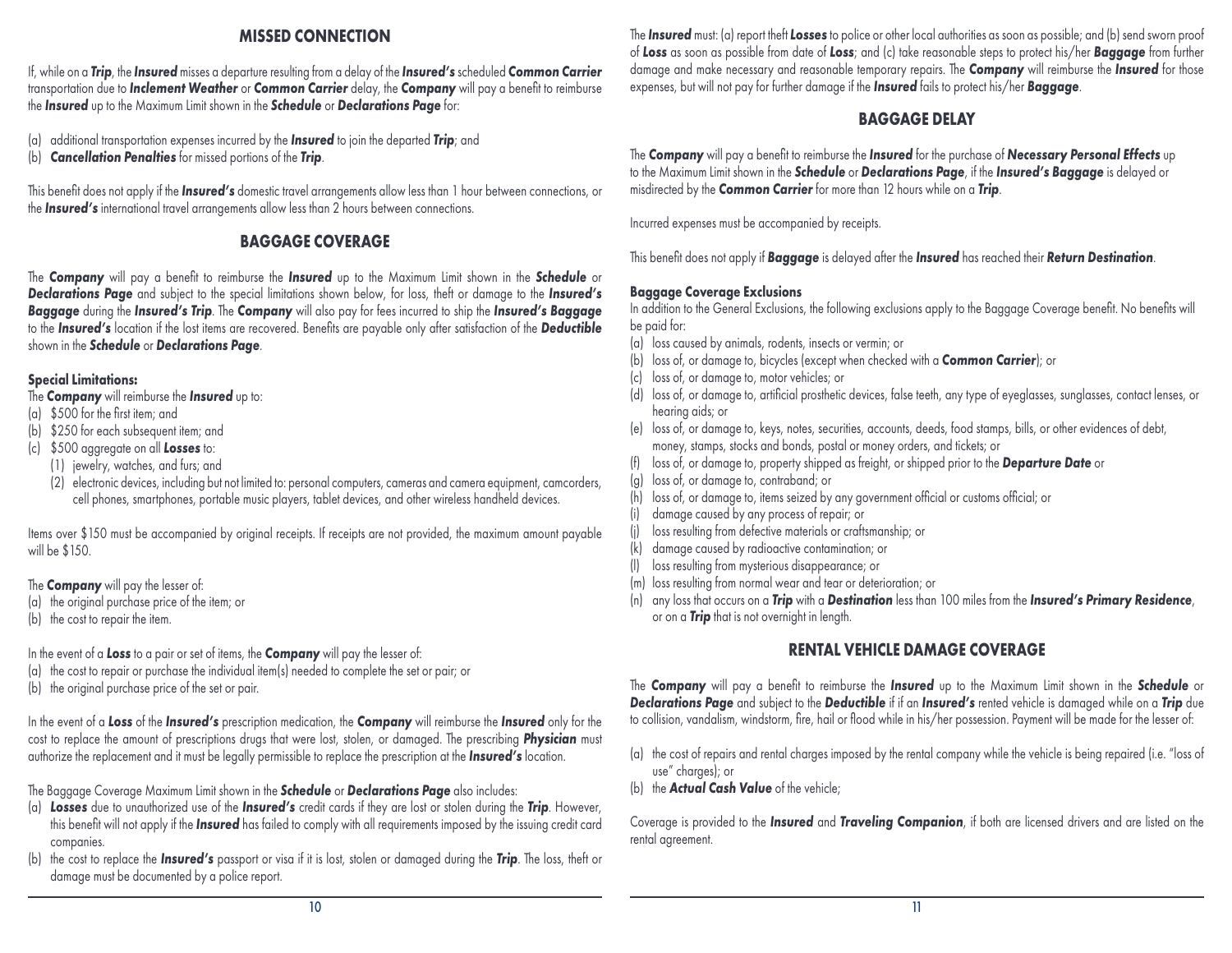## **MISSED CONNECTION**

If, while on a *Trip*, the *Insured* misses a departure resulting from a delay of the *Insured's* scheduled *Common Carrier* transportation due to *Inclement Weather* or *Common Carrier* delay, the *Company* will pay a benefit to reimburse the *Insured* up to the Maximum Limit shown in the *Schedule* or *Declarations Page* for:

(a) additional transportation expenses incurred by the *Insured* to join the departed *Trip*; and

(b) *Cancellation Penalties* for missed portions of the *Trip*.

This benefit does not apply if the *Insured's* domestic travel arrangements allow less than 1 hour between connections, or the *Insured's* international travel arrangements allow less than 2 hours between connections.

## **BAGGAGE COVERAGE**

The *Company* will pay a benefit to reimburse the *Insured* up to the Maximum Limit shown in the *Schedule* or *Declarations Page* and subject to the special limitations shown below, for loss, theft or damage to the *Insured's Baggage* during the *Insured's Trip*. The *Company* will also pay for fees incurred to ship the *Insured's Baggage* to the *Insured's* location if the lost items are recovered. Benefits are payable only after satisfaction of the *Deductible* shown in the *Schedule* or *Declarations Page*.

## **Special Limitations:**

- The *Company* will reimburse the *Insured* up to:
- (a) \$500 for the first item; and
- (b) \$250 for each subsequent item; and
- (c) \$500 aggregate on all *Losses* to:
	- (1) jewelry, watches, and furs; and
	- (2) electronic devices, including but not limited to: personal computers, cameras and camera equipment, camcorders, cell phones, smartphones, portable music players, tablet devices, and other wireless handheld devices.

Items over \$150 must be accompanied by original receipts. If receipts are not provided, the maximum amount payable will be \$150.

- The *Company* will pay the lesser of:
- (a) the original purchase price of the item; or
- (b) the cost to repair the item.

In the event of a *Loss* to a pair or set of items, the *Company* will pay the lesser of:

(a) the cost to repair or purchase the individual item(s) needed to complete the set or pair; or

(b) the original purchase price of the set or pair.

In the event of a *Loss* of the *Insured's* prescription medication, the *Company* will reimburse the *Insured* only for the cost to replace the amount of prescriptions drugs that were lost, stolen, or damaged. The prescribing *Physician* must authorize the replacement and it must be legally permissible to replace the prescription at the *Insured's* location.

The Baggage Coverage Maximum Limit shown in the *Schedule* or *Declarations Page* also includes:

- (a) *Losses* due to unauthorized use of the *Insured's* credit cards if they are lost or stolen during the *Trip*. However, this benefit will not apply if the *Insured* has failed to comply with all requirements imposed by the issuing credit card companies.
- (b) the cost to replace the *Insured's* passport or visa if it is lost, stolen or damaged during the *Trip*. The loss, theft or damage must be documented by a police report.

The *Insured* must: (a) report theft *Losses* to police or other local authorities as soon as possible; and (b) send sworn proof of *Loss* as soon as possible from date of *Loss*; and (c) take reasonable steps to protect his/her *Baggage* from further damage and make necessary and reasonable temporary repairs. The *Company* will reimburse the *Insured* for those expenses, but will not pay for further damage if the *Insured* fails to protect his/her *Baggage*.

## **BAGGAGE DELAY**

The *Company* will pay a benefit to reimburse the *Insured* for the purchase of *Necessary Personal Effects* up to the Maximum Limit shown in the *Schedule* or *Declarations Page*, if the *Insured's Baggage* is delayed or misdirected by the *Common Carrier* for more than 12 hours while on a *Trip*.

Incurred expenses must be accompanied by receipts.

This benefit does not apply if *Baggage* is delayed after the *Insured* has reached their *Return Destination*.

## **Baggage Coverage Exclusions**

In addition to the General Exclusions, the following exclusions apply to the Baggage Coverage benefit. No benefits will be paid for:

- (a) loss caused by animals, rodents, insects or vermin; or
- (b) loss of, or damage to, bicycles (except when checked with a *Common Carrier*); or
- (c) loss of, or damage to, motor vehicles; or
- (d) loss of, or damage to, artificial prosthetic devices, false teeth, any type of eyeglasses, sunglasses, contact lenses, or hearing aids; or
- (e) loss of, or damage to, keys, notes, securities, accounts, deeds, food stamps, bills, or other evidences of debt, money, stamps, stocks and bonds, postal or money orders, and tickets; or
- (f) loss of, or damage to, property shipped as freight, or shipped prior to the *Departure Date* or
- (g) loss of, or damage to, contraband; or
- (h) loss of, or damage to, items seized by any government official or customs official; or
- (i) damage caused by any process of repair; or
- (j) loss resulting from defective materials or craftsmanship; or
- (k) damage caused by radioactive contamination; or
- (l) loss resulting from mysterious disappearance; or
- (m) loss resulting from normal wear and tear or deterioration; or
- (n) any loss that occurs on a *Trip* with a *Destination* less than 100 miles from the *Insured's Primary Residence*, or on a *Trip* that is not overnight in length.

## **RENTAL VEHICLE DAMAGE COVERAGE**

The *Company* will pay a benefit to reimburse the *Insured* up to the Maximum Limit shown in the *Schedule* or *Declarations Page* and subject to the *Deductible* if if an *Insured's* rented vehicle is damaged while on a *Trip* due to collision, vandalism, windstorm, fire, hail or flood while in his/her possession. Payment will be made for the lesser of:

- (a) the cost of repairs and rental charges imposed by the rental company while the vehicle is being repaired (i.e. "loss of use" charges); or
- (b) the *Actual Cash Value* of the vehicle;

Coverage is provided to the *Insured* and *Traveling Companion*, if both are licensed drivers and are listed on the rental agreement.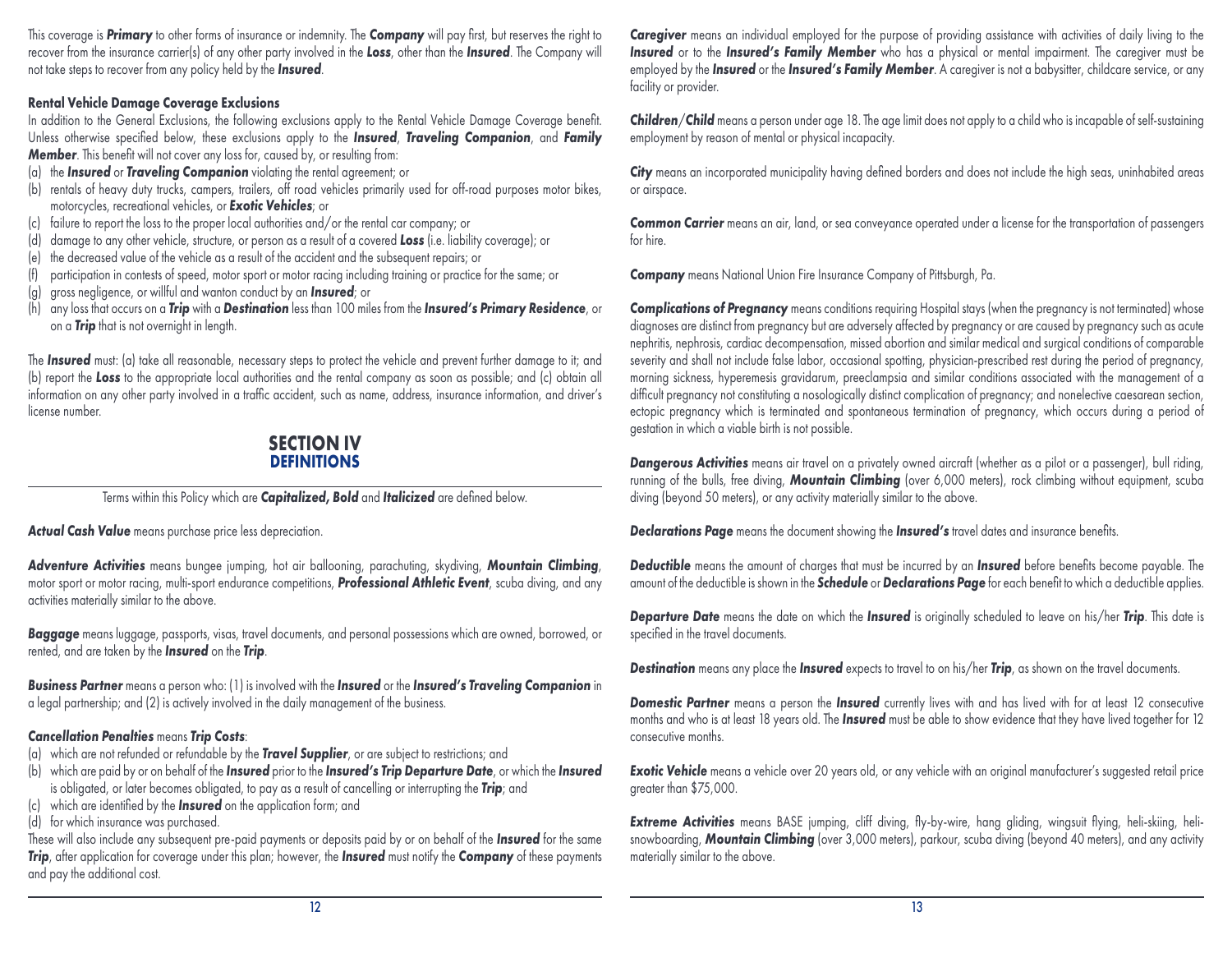This coverage is *Primary* to other forms of insurance or indemnity. The *Company* will pay first, but reserves the right to recover from the insurance carrier(s) of any other party involved in the *Loss*, other than the *Insured*. The Company will not take steps to recover from any policy held by the *Insured*.

#### **Rental Vehicle Damage Coverage Exclusions**

In addition to the General Exclusions, the following exclusions apply to the Rental Vehicle Damage Coverage benefit. Unless otherwise specified below, these exclusions apply to the *Insured*, *Traveling Companion*, and *Family Member*. This benefit will not cover any loss for, caused by, or resulting from:

- (a) the *Insured* or *Traveling Companion* violating the rental agreement; or
- (b) rentals of heavy duty trucks, campers, trailers, off road vehicles primarily used for off-road purposes motor bikes, motorcycles, recreational vehicles, or *Exotic Vehicles*; or
- (c) failure to report the loss to the proper local authorities and/or the rental car company; or
- (d) damage to any other vehicle, structure, or person as a result of a covered *Loss* (i.e. liability coverage); or
- (e) the decreased value of the vehicle as a result of the accident and the subsequent repairs; or
- (f) participation in contests of speed, motor sport or motor racing including training or practice for the same; or
- (g) gross negligence, or willful and wanton conduct by an *Insured*; or
- (h) any loss that occurs on a *Trip* with a *Destination* less than 100 miles from the *Insured's Primary Residence*, or on a *Trip* that is not overnight in length.

The *Insured* must: (a) take all reasonable, necessary steps to protect the vehicle and prevent further damage to it; and (b) report the *Loss* to the appropriate local authorities and the rental company as soon as possible; and (c) obtain all information on any other party involved in a traffic accident, such as name, address, insurance information, and driver's license number.

## **SECTION IV DEFINITIONS**

Terms within this Policy which are *Capitalized, Bold* and *Italicized* are defined below.

*Actual Cash Value* means purchase price less depreciation.

*Adventure Activities* means bungee jumping, hot air ballooning, parachuting, skydiving, *Mountain Climbing*, motor sport or motor racing, multi-sport endurance competitions, *Professional Athletic Event*, scuba diving, and any activities materially similar to the above.

*Baggage* means luggage, passports, visas, travel documents, and personal possessions which are owned, borrowed, or rented, and are taken by the *Insured* on the *Trip*.

*Business Partner* means a person who: (1) is involved with the *Insured* or the *Insured's Traveling Companion* in a legal partnership; and (2) is actively involved in the daily management of the business.

## *Cancellation Penalties* means *Trip Costs*:

(a) which are not refunded or refundable by the *Travel Supplier*, or are subject to restrictions; and

(b) which are paid by or on behalf of the *Insured* prior to the *Insured's Trip Departure Date*, or which the *Insured* is obligated, or later becomes obligated, to pay as a result of cancelling or interrupting the *Trip*; and

- (c) which are identified by the *Insured* on the application form; and
- (d) for which insurance was purchased.

These will also include any subsequent pre-paid payments or deposits paid by or on behalf of the *Insured* for the same *Trip*, after application for coverage under this plan; however, the *Insured* must notify the *Company* of these payments and pay the additional cost.

**Caregiver** means an individual employed for the purpose of providing assistance with activities of daily living to the **Insured** or to the **Insured's Family Member** who has a physical or mental impairment. The caregiver must be employed by the *Insured* or the *Insured's Family Member*. A caregiver is not a babysitter, childcare service, or any facility or provider.

*Children*/*Child* means a person under age 18. The age limit does not apply to a child who is incapable of self-sustaining employment by reason of mental or physical incapacity.

**City** means an incorporated municipality having defined borders and does not include the high seas, uninhabited areas or airspace.

*Common Carrier* means an air, land, or sea conveyance operated under a license for the transportation of passengers for hire.

*Company* means National Union Fire Insurance Company of Pittsburgh, Pa.

*Complications of Pregnancy* means conditions requiring Hospital stays (when the pregnancy is not terminated) whose diagnoses are distinct from pregnancy but are adversely affected by pregnancy or are caused by pregnancy such as acute nephritis, nephrosis, cardiac decompensation, missed abortion and similar medical and surgical conditions of comparable severity and shall not include false labor, occasional spotting, physician-prescribed rest during the period of pregnancy, morning sickness, hyperemesis gravidarum, preeclampsia and similar conditions associated with the management of a difficult pregnancy not constituting a nosologically distinct complication of pregnancy; and nonelective caesarean section, ectopic pregnancy which is terminated and spontaneous termination of pregnancy, which occurs during a period of gestation in which a viable birth is not possible.

*Dangerous Activities* means air travel on a privately owned aircraft (whether as a pilot or a passenger), bull riding, running of the bulls, free diving, *Mountain Climbing* (over 6,000 meters), rock climbing without equipment, scuba diving (beyond 50 meters), or any activity materially similar to the above.

*Declarations Page* means the document showing the *Insured's* travel dates and insurance benefits.

*Deductible* means the amount of charges that must be incurred by an *Insured* before benefits become payable. The amount of the deductible is shown in the *Schedule* or *Declarations Page* for each benefit to which a deductible applies.

*Departure Date* means the date on which the *Insured* is originally scheduled to leave on his/her *Trip*. This date is specified in the travel documents.

*Destination* means any place the *Insured* expects to travel to on his/her *Trip*, as shown on the travel documents.

*Domestic Partner* means a person the *Insured* currently lives with and has lived with for at least 12 consecutive months and who is at least 18 years old. The *Insured* must be able to show evidence that they have lived together for 12 consecutive months.

**Exotic Vehicle** means a vehicle over 20 years old, or any vehicle with an original manufacturer's suggested retail price greater than \$75,000.

*Extreme Activities* means BASE jumping, cliff diving, fly-by-wire, hang gliding, wingsuit flying, heli-skiing, helisnowboarding, *Mountain Climbing* (over 3,000 meters), parkour, scuba diving (beyond 40 meters), and any activity materially similar to the above.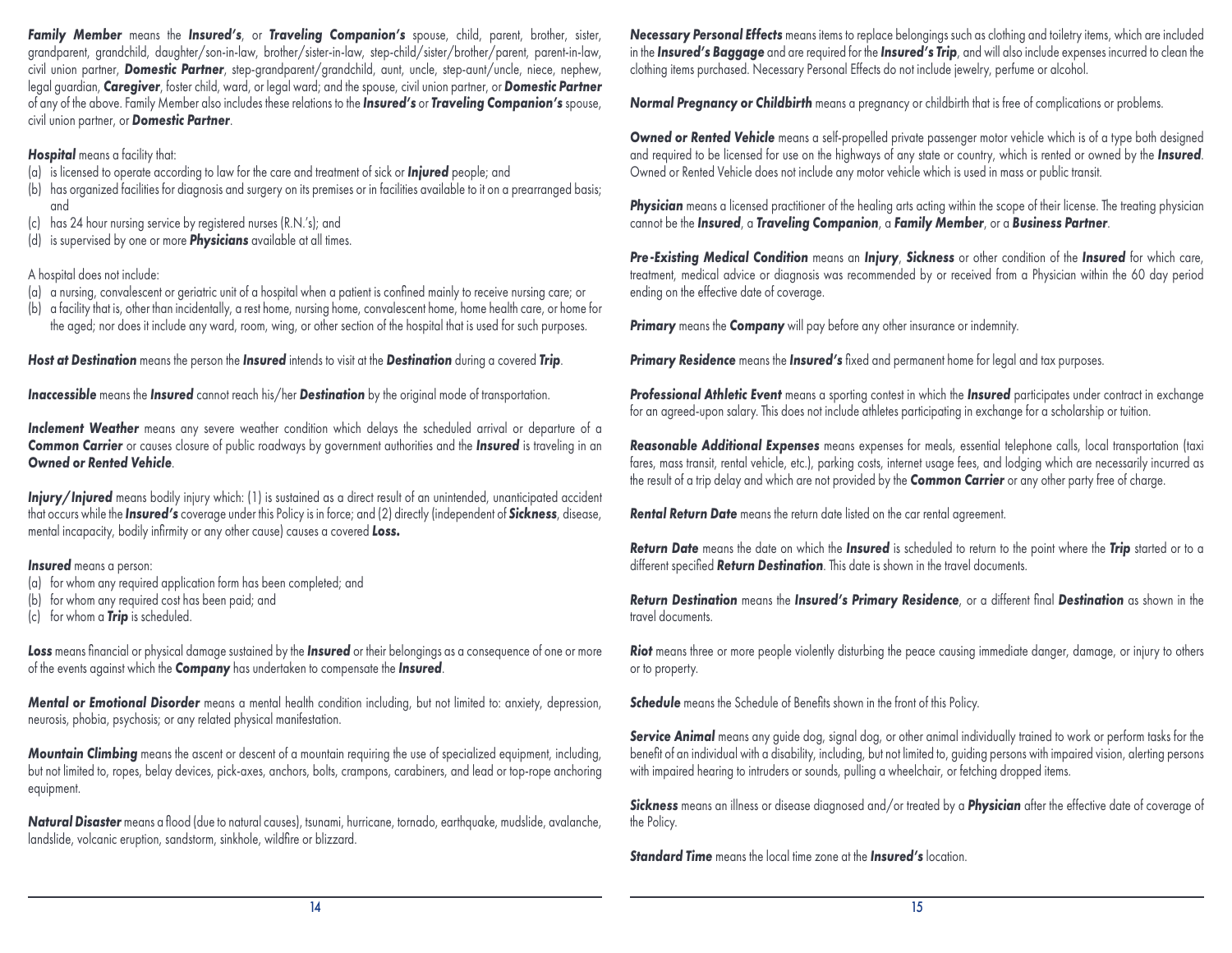*Family Member* means the *Insured's*, or *Traveling Companion's* spouse, child, parent, brother, sister, grandparent, grandchild, daughter/son-in-law, brother/sister-in-law, step-child/sister/brother/parent, parent-in-law, civil union partner, *Domestic Partner*, step-grandparent/grandchild, aunt, uncle, step-aunt/uncle, niece, nephew, legal guardian, *Caregiver*, foster child, ward, or legal ward; and the spouse, civil union partner, or *Domestic Partner* of any of the above. Family Member also includes these relations to the *Insured's* or *Traveling Companion's* spouse, civil union partner, or *Domestic Partner*.

*Hospital* means a facility that:

- (a) is licensed to operate according to law for the care and treatment of sick or *Injured* people; and
- (b) has organized facilities for diagnosis and surgery on its premises or in facilities available to it on a prearranged basis; and
- (c) has 24 hour nursing service by registered nurses (R.N.'s); and
- (d) is supervised by one or more *Physicians* available at all times.

## A hospital does not include:

- (a) a nursing, convalescent or geriatric unit of a hospital when a patient is confined mainly to receive nursing care; or
- (b) a facility that is, other than incidentally, a rest home, nursing home, convalescent home, home health care, or home for the aged; nor does it include any ward, room, wing, or other section of the hospital that is used for such purposes.

*Host at Destination* means the person the *Insured* intends to visit at the *Destination* during a covered *Trip*.

*Inaccessible* means the *Insured* cannot reach his/her *Destination* by the original mode of transportation.

Inclement Weather means any severe weather condition which delays the scheduled arrival or departure of a *Common Carrier* or causes closure of public roadways by government authorities and the *Insured* is traveling in an *Owned or Rented Vehicle*.

**Injury/Injured** means bodily injury which: (1) is sustained as a direct result of an unintended, unanticipated accident that occurs while the *Insured's* coverage under this Policy is in force; and (2) directly (independent of *Sickness*, disease, mental incapacity, bodily infirmity or any other cause) causes a covered *Loss***.**

*Insured* means a person:

- (a) for whom any required application form has been completed; and
- (b) for whom any required cost has been paid; and
- (c) for whom a *Trip* is scheduled.

*Loss* means financial or physical damage sustained by the *Insured* or their belongings as a consequence of one or more of the events against which the *Company* has undertaken to compensate the *Insured*.

*Mental or Emotional Disorder* means a mental health condition including, but not limited to: anxiety, depression, neurosis, phobia, psychosis; or any related physical manifestation.

*Mountain Climbing* means the ascent or descent of a mountain requiring the use of specialized equipment, including, but not limited to, ropes, belay devices, pick-axes, anchors, bolts, crampons, carabiners, and lead or top-rope anchoring equipment.

*Natural Disaster* means a flood (due to natural causes), tsunami, hurricane, tornado, earthquake, mudslide, avalanche, landslide, volcanic eruption, sandstorm, sinkhole, wildfire or blizzard.

*Necessary Personal Effects* means items to replace belongings such as clothing and toiletry items, which are included in the *Insured's Baggage* and are required for the *Insured's Trip*, and will also include expenses incurred to clean the clothing items purchased. Necessary Personal Effects do not include jewelry, perfume or alcohol.

*Normal Pregnancy or Childbirth* means a pregnancy or childbirth that is free of complications or problems.

**Owned or Rented Vehicle** means a self-propelled private passenger motor vehicle which is of a type both designed and required to be licensed for use on the highways of any state or country, which is rented or owned by the *Insured*. Owned or Rented Vehicle does not include any motor vehicle which is used in mass or public transit.

**Physician** means a licensed practitioner of the healing arts acting within the scope of their license. The treating physician cannot be the *Insured*, a *Traveling Companion*, a *Family Member*, or a *Business Partner*.

*Pre-Existing Medical Condition* means an *Injury*, *Sickness* or other condition of the *Insured* for which care, treatment, medical advice or diagnosis was recommended by or received from a Physician within the 60 day period ending on the effective date of coverage.

*Primary* means the *Company* will pay before any other insurance or indemnity.

**Primary Residence** means the **Insured's** fixed and permanent home for legal and tax purposes.

*Professional Athletic Event* means a sporting contest in which the *Insured* participates under contract in exchange for an agreed-upon salary. This does not include athletes participating in exchange for a scholarship or tuition.

*Reasonable Additional Expenses* means expenses for meals, essential telephone calls, local transportation (taxi fares, mass transit, rental vehicle, etc.), parking costs, internet usage fees, and lodging which are necessarily incurred as the result of a trip delay and which are not provided by the *Common Carrier* or any other party free of charge.

*Rental Return Date* means the return date listed on the car rental agreement.

*Return Date* means the date on which the *Insured* is scheduled to return to the point where the *Trip* started or to a different specified *Return Destination*. This date is shown in the travel documents.

*Return Destination* means the *Insured's Primary Residence*, or a different final *Destination* as shown in the travel documents.

**Riot** means three or more people violently disturbing the peace causing immediate danger, damage, or injury to others or to property.

**Schedule** means the Schedule of Benefits shown in the front of this Policy.

**Service Animal** means any guide dog, signal dog, or other animal individually trained to work or perform tasks for the benefit of an individual with a disability, including, but not limited to, guiding persons with impaired vision, alerting persons with impaired hearing to intruders or sounds, pulling a wheelchair, or fetching dropped items.

*Sickness* means an illness or disease diagnosed and/or treated by a *Physician* after the effective date of coverage of the Policy.

*Standard Time* means the local time zone at the *Insured's* location.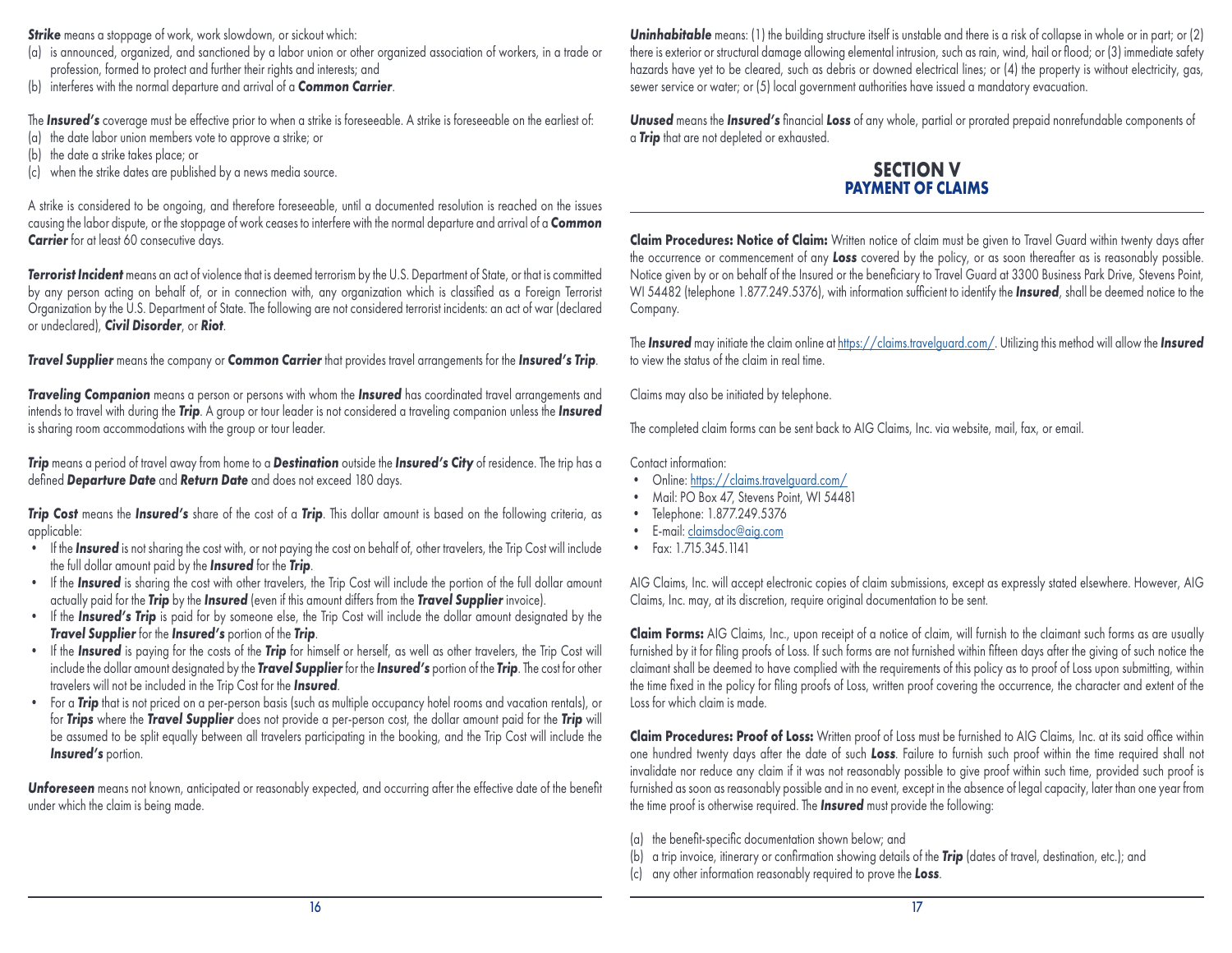**Strike** means a stoppage of work, work slowdown, or sickout which:

- (a) is announced, organized, and sanctioned by a labor union or other organized association of workers, in a trade or profession, formed to protect and further their rights and interests; and
- (b) interferes with the normal departure and arrival of a *Common Carrier*.

The *Insured's* coverage must be effective prior to when a strike is foreseeable. A strike is foreseeable on the earliest of:

- (a) the date labor union members vote to approve a strike; or
- (b) the date a strike takes place; or
- (c) when the strike dates are published by a news media source.

A strike is considered to be ongoing, and therefore foreseeable, until a documented resolution is reached on the issues causing the labor dispute, or the stoppage of work ceases to interfere with the normal departure and arrival of a *Common*  **Carrier** for at least 60 consecutive days.

*Terrorist Incident* means an act of violence that is deemed terrorism by the U.S. Department of State, or that is committed by any person acting on behalf of, or in connection with, any organization which is classified as a Foreign Terrorist Organization by the U.S. Department of State. The following are not considered terrorist incidents: an act of war (declared or undeclared), *Civil Disorder*, or *Riot*.

*Travel Supplier* means the company or *Common Carrier* that provides travel arrangements for the *Insured's Trip*.

*Traveling Companion* means a person or persons with whom the *Insured* has coordinated travel arrangements and intends to travel with during the *Trip*. A group or tour leader is not considered a traveling companion unless the *Insured* is sharing room accommodations with the group or tour leader.

*Trip* means a period of travel away from home to a *Destination* outside the *Insured's City* of residence. The trip has a defined *Departure Date* and *Return Date* and does not exceed 180 days.

*Trip Cost* means the *Insured's* share of the cost of a *Trip*. This dollar amount is based on the following criteria, as applicable:

- If the *Insured* is not sharing the cost with, or not paying the cost on behalf of, other travelers, the Trip Cost will include the full dollar amount paid by the *Insured* for the *Trip*.
- If the *Insured* is sharing the cost with other travelers, the Trip Cost will include the portion of the full dollar amount actually paid for the *Trip* by the *Insured* (even if this amount differs from the *Travel Supplier* invoice).
- If the *Insured's Trip* is paid for by someone else, the Trip Cost will include the dollar amount designated by the *Travel Supplier* for the *Insured's* portion of the *Trip*.
- If the *Insured* is paying for the costs of the *Trip* for himself or herself, as well as other travelers, the Trip Cost will include the dollar amount designated by the *Travel Supplier* for the *Insured's* portion of the *Trip*. The cost for other travelers will not be included in the Trip Cost for the *Insured*.
- For a *Trip* that is not priced on a per-person basis (such as multiple occupancy hotel rooms and vacation rentals), or for *Trips* where the *Travel Supplier* does not provide a per-person cost, the dollar amount paid for the *Trip* will be assumed to be split equally between all travelers participating in the booking, and the Trip Cost will include the **Insured's** portion.

*Unforeseen* means not known, anticipated or reasonably expected, and occurring after the effective date of the benefit under which the claim is being made.

**Uninhabitable** means: (1) the building structure itself is unstable and there is a risk of collapse in whole or in part; or (2) there is exterior or structural damage allowing elemental intrusion, such as rain, wind, hail or flood; or (3) immediate safety hazards have yet to be cleared, such as debris or downed electrical lines; or (4) the property is without electricity, gas, sewer service or water; or (5) local government authorities have issued a mandatory evacuation.

*Unused* means the *Insured's* financial *Loss* of any whole, partial or prorated prepaid nonrefundable components of a *Trip* that are not depleted or exhausted.

## **SECTION V PAYMENT OF CLAIMS**

**Claim Procedures: Notice of Claim:** Written notice of claim must be given to Travel Guard within twenty days after the occurrence or commencement of any *Loss* covered by the policy, or as soon thereafter as is reasonably possible. Notice given by or on behalf of the Insured or the beneficiary to Travel Guard at 3300 Business Park Drive, Stevens Point, WI 54482 (telephone 1.877.249.5376), with information sufficient to identify the *Insured*, shall be deemed notice to the Company.

The *Insured* may initiate the claim online at [https://claims.travelguard.com/.](https://claims.travelguard.com/) Utilizing this method will allow the *Insured*  to view the status of the claim in real time.

Claims may also be initiated by telephone.

The completed claim forms can be sent back to AIG Claims, Inc. via website, mail, fax, or email.

Contact information:

- Online: https://claims.travelguard.com/
- Mail: PO Box 47, Stevens Point, WI 54481
- Telephone: 1.877.249.5376
- E-mail: [claimsdoc@aig.com](mailto:claimsdoc%40aig.com?subject=)
- Fax: 1.715.345.1141

AIG Claims, Inc. will accept electronic copies of claim submissions, except as expressly stated elsewhere. However, AIG Claims, Inc. may, at its discretion, require original documentation to be sent.

**Claim Forms:** AIG Claims, Inc., upon receipt of a notice of claim, will furnish to the claimant such forms as are usually furnished by it for filing proofs of Loss. If such forms are not furnished within fifteen days after the giving of such notice the claimant shall be deemed to have complied with the requirements of this policy as to proof of Loss upon submitting, within the time fixed in the policy for filing proofs of Loss, written proof covering the occurrence, the character and extent of the Loss for which claim is made.

**Claim Procedures: Proof of Loss:** Written proof of Loss must be furnished to AIG Claims, Inc. at its said office within one hundred twenty days after the date of such *Loss*. Failure to furnish such proof within the time required shall not invalidate nor reduce any claim if it was not reasonably possible to give proof within such time, provided such proof is furnished as soon as reasonably possible and in no event, except in the absence of legal capacity, later than one year from the time proof is otherwise required. The *Insured* must provide the following:

- (a) the benefit-specific documentation shown below; and
- (b) a trip invoice, itinerary or confirmation showing details of the *Trip* (dates of travel, destination, etc.); and
- (c) any other information reasonably required to prove the *Loss*.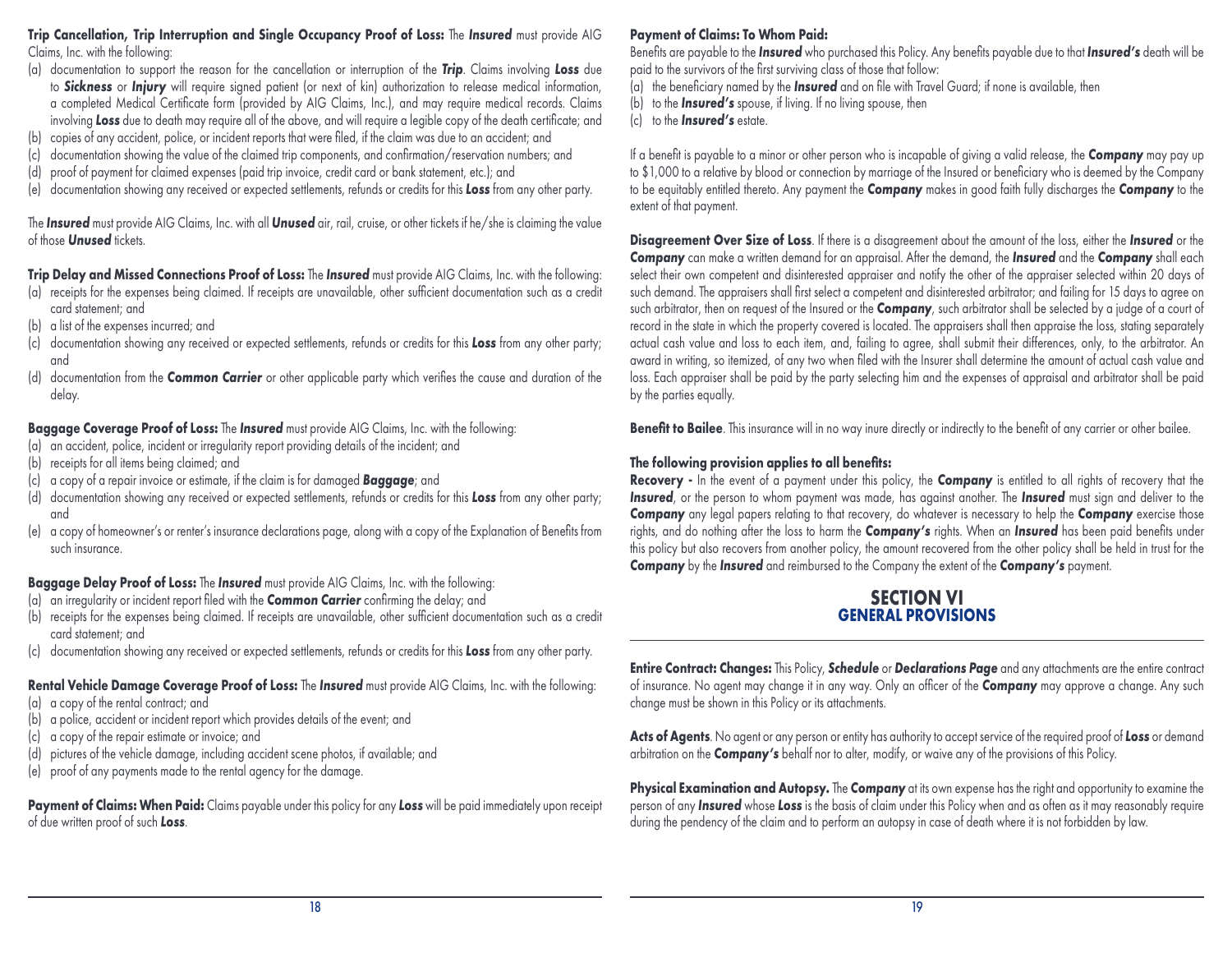#### **Trip Cancellation, Trip Interruption and Single Occupancy Proof of Loss:** The *Insured* must provide AIG Claims, Inc. with the following:

- (a) documentation to support the reason for the cancellation or interruption of the *Trip*. Claims involving *Loss* due to *Sickness* or *Injury* will require signed patient (or next of kin) authorization to release medical information, a completed Medical Certificate form (provided by AIG Claims, Inc.), and may require medical records. Claims involving *Loss* due to death may require all of the above, and will require a legible copy of the death certificate; and
- (b) copies of any accident, police, or incident reports that were filed, if the claim was due to an accident; and
- (c) documentation showing the value of the claimed trip components, and confirmation/reservation numbers; and
- (d) proof of payment for claimed expenses (paid trip invoice, credit card or bank statement, etc.); and
- (e) documentation showing any received or expected settlements, refunds or credits for this *Loss* from any other party.

The *Insured* must provide AIG Claims, Inc. with all *Unused* air, rail, cruise, or other tickets if he/she is claiming the value of those *Unused* tickets.

**Trip Delay and Missed Connections Proof of Loss:** The *Insured* must provide AIG Claims, Inc. with the following:

- (a) receipts for the expenses being claimed. If receipts are unavailable, other sufficient documentation such as a credit card statement; and
- (b) a list of the expenses incurred; and
- (c) documentation showing any received or expected settlements, refunds or credits for this *Loss* from any other party; and
- (d) documentation from the *Common Carrier* or other applicable party which verifies the cause and duration of the delay.

**Baggage Coverage Proof of Loss:** The *Insured* must provide AIG Claims, Inc. with the following:

- (a) an accident, police, incident or irregularity report providing details of the incident; and
- (b) receipts for all items being claimed; and
- (c) a copy of a repair invoice or estimate, if the claim is for damaged *Baggage*; and
- (d) documentation showing any received or expected settlements, refunds or credits for this *Loss* from any other party; and
- (e) a copy of homeowner's or renter's insurance declarations page, along with a copy of the Explanation of Benefits from such insurance.

## **Baggage Delay Proof of Loss:** The *Insured* must provide AIG Claims, Inc. with the following:

- (a) an irregularity or incident report filed with the *Common Carrier* confirming the delay; and
- (b) receipts for the expenses being claimed. If receipts are unavailable, other sufficient documentation such as a credit card statement; and
- (c) documentation showing any received or expected settlements, refunds or credits for this *Loss* from any other party.

#### **Rental Vehicle Damage Coverage Proof of Loss:** The *Insured* must provide AIG Claims, Inc. with the following:

- (a) a copy of the rental contract; and
- (b) a police, accident or incident report which provides details of the event; and
- (c) a copy of the repair estimate or invoice; and
- (d) pictures of the vehicle damage, including accident scene photos, if available; and
- (e) proof of any payments made to the rental agency for the damage.

**Payment of Claims: When Paid:** Claims payable under this policy for any *Loss* will be paid immediately upon receipt of due written proof of such *Loss*.

## **Payment of Claims: To Whom Paid:**

Benefits are payable to the *Insured* who purchased this Policy. Any benefits payable due to that *Insured's* death will be paid to the survivors of the first surviving class of those that follow:

- (a) the beneficiary named by the *Insured* and on file with Travel Guard; if none is available, then
- (b) to the *Insured's* spouse, if living. If no living spouse, then
- (c) to the *Insured's* estate.

If a benefit is payable to a minor or other person who is incapable of giving a valid release, the *Company* may pay up to \$1,000 to a relative by blood or connection by marriage of the Insured or beneficiary who is deemed by the Company to be equitably entitled thereto. Any payment the *Company* makes in good faith fully discharges the *Company* to the extent of that payment.

**Disagreement Over Size of Loss**. If there is a disagreement about the amount of the loss, either the *Insured* or the *Company* can make a written demand for an appraisal. After the demand, the *Insured* and the *Company* shall each select their own competent and disinterested appraiser and notify the other of the appraiser selected within 20 days of such demand. The appraisers shall first select a competent and disinterested arbitrator; and failing for 15 days to agree on such arbitrator, then on request of the Insured or the *Company*, such arbitrator shall be selected by a judge of a court of record in the state in which the property covered is located. The appraisers shall then appraise the loss, stating separately actual cash value and loss to each item, and, failing to agree, shall submit their differences, only, to the arbitrator. An award in writing, so itemized, of any two when filed with the Insurer shall determine the amount of actual cash value and loss. Each appraiser shall be paid by the party selecting him and the expenses of appraisal and arbitrator shall be paid by the parties equally.

**Benefit to Bailee**. This insurance will in no way inure directly or indirectly to the benefit of any carrier or other bailee.

## **The following provision applies to all benefits:**

**Recovery -** In the event of a payment under this policy, the *Company* is entitled to all rights of recovery that the **Insured**, or the person to whom payment was made, has against another. The **Insured** must sign and deliver to the **Company** any legal papers relating to that recovery, do whatever is necessary to help the **Company** exercise those rights, and do nothing after the loss to harm the *Company's* rights. When an *Insured* has been paid benefits under this policy but also recovers from another policy, the amount recovered from the other policy shall be held in trust for the *Company* by the *Insured* and reimbursed to the Company the extent of the *Company's* payment.

## **SECTION VI GENERAL PROVISIONS**

**Entire Contract: Changes:** This Policy, *Schedule* or *Declarations Page* and any attachments are the entire contract of insurance. No agent may change it in any way. Only an officer of the *Company* may approve a change. Any such change must be shown in this Policy or its attachments.

**Acts of Agents**. No agent or any person or entity has authority to accept service of the required proof of *Loss* or demand arbitration on the *Company's* behalf nor to alter, modify, or waive any of the provisions of this Policy.

**Physical Examination and Autopsy.** The *Company* at its own expense has the right and opportunity to examine the person of any *Insured* whose *Loss* is the basis of claim under this Policy when and as often as it may reasonably require during the pendency of the claim and to perform an autopsy in case of death where it is not forbidden by law.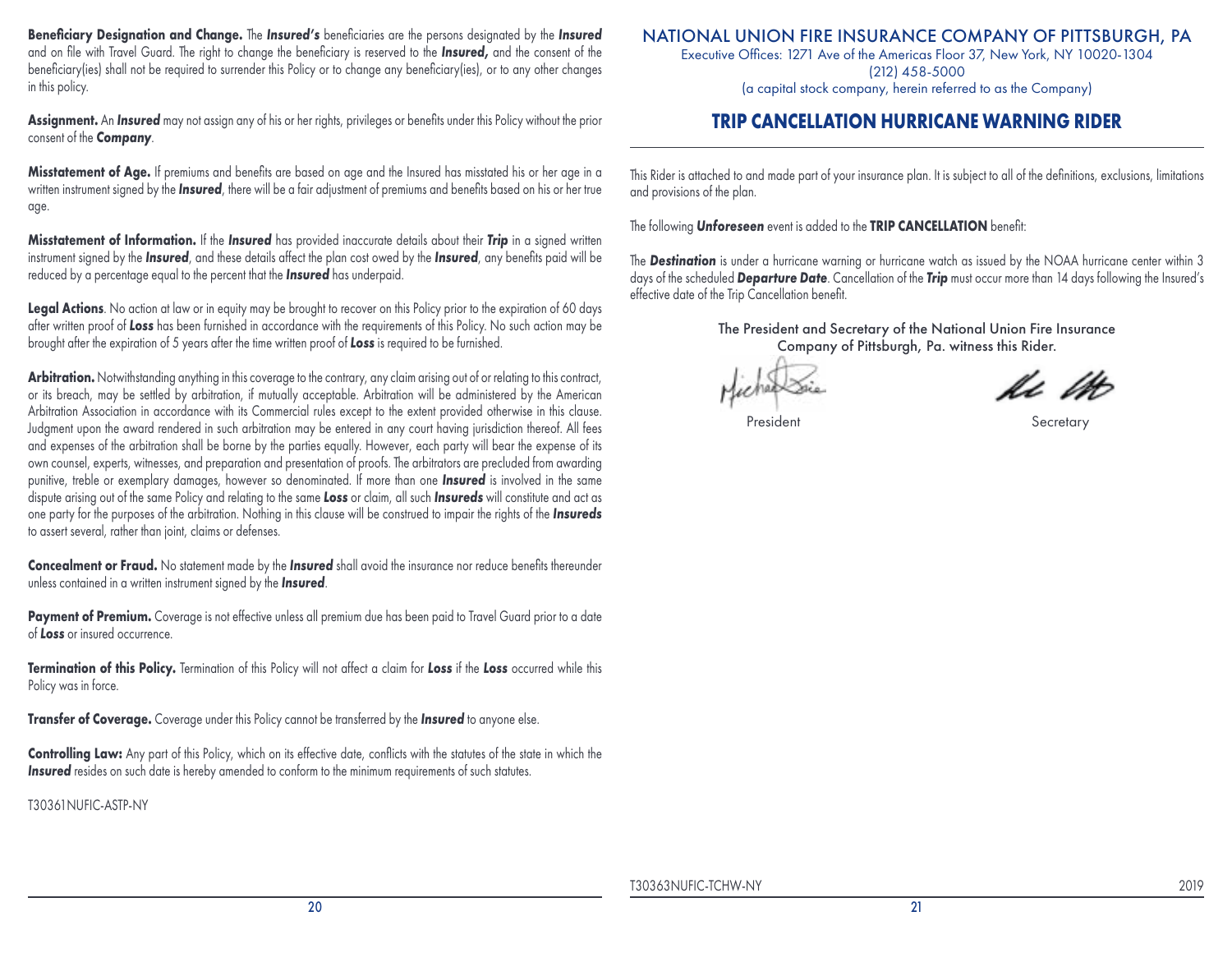**Beneficiary Designation and Change.** The *Insured's* beneficiaries are the persons designated by the *Insured* and on file with Travel Guard. The right to change the beneficiary is reserved to the *Insured,* and the consent of the beneficiary(ies) shall not be required to surrender this Policy or to change any beneficiary(ies), or to any other changes in this policy.

**Assignment.** An *Insured* may not assign any of his or her rights, privileges or benefits under this Policy without the prior consent of the *Company*.

**Misstatement of Age.** If premiums and benefits are based on age and the Insured has misstated his or her age in a written instrument signed by the *Insured*, there will be a fair adjustment of premiums and benefits based on his or her true age.

**Misstatement of Information.** If the *Insured* has provided inaccurate details about their *Trip* in a signed written instrument signed by the *Insured*, and these details affect the plan cost owed by the *Insured*, any benefits paid will be reduced by a percentage equal to the percent that the *Insured* has underpaid.

**Legal Actions**. No action at law or in equity may be brought to recover on this Policy prior to the expiration of 60 days after written proof of *Loss* has been furnished in accordance with the requirements of this Policy. No such action may be brought after the expiration of 5 years after the time written proof of *Loss* is required to be furnished.

**Arbitration.** Notwithstanding anything in this coverage to the contrary, any claim arising out of or relating to this contract, or its breach, may be settled by arbitration, if mutually acceptable. Arbitration will be administered by the American Arbitration Association in accordance with its Commercial rules except to the extent provided otherwise in this clause. Judgment upon the award rendered in such arbitration may be entered in any court having jurisdiction thereof. All fees and expenses of the arbitration shall be borne by the parties equally. However, each party will bear the expense of its own counsel, experts, witnesses, and preparation and presentation of proofs. The arbitrators are precluded from awarding punitive, treble or exemplary damages, however so denominated. If more than one *Insured* is involved in the same dispute arising out of the same Policy and relating to the same *Loss* or claim, all such *Insureds* will constitute and act as one party for the purposes of the arbitration. Nothing in this clause will be construed to impair the rights of the *Insureds* to assert several, rather than joint, claims or defenses.

**Concealment or Fraud.** No statement made by the *Insured* shall avoid the insurance nor reduce benefits thereunder unless contained in a written instrument signed by the *Insured*.

Payment of Premium. Coverage is not effective unless all premium due has been paid to Travel Guard prior to a date of *Loss* or insured occurrence.

**Termination of this Policy.** Termination of this Policy will not affect a claim for *Loss* if the *Loss* occurred while this Policy was in force.

**Transfer of Coverage.** Coverage under this Policy cannot be transferred by the *Insured* to anyone else.

**Controlling Law:** Any part of this Policy, which on its effective date, conflicts with the statutes of the state in which the **Insured** resides on such date is hereby amended to conform to the minimum requirements of such statutes.

T30361NUFIC-ASTP-NY

## NATIONAL UNION FIRE INSURANCE COMPANY OF PITTSBURGH, PA

Executive Offices: 1271 Ave of the Americas Floor 37, New York, NY 10020-1304 (212) 458-5000 (a capital stock company, herein referred to as the Company)

## **TRIP CANCELLATION HURRICANE WARNING RIDER**

This Rider is attached to and made part of your insurance plan. It is subject to all of the definitions, exclusions, limitations and provisions of the plan.

The following *Unforeseen* event is added to the **TRIP CANCELLATION** benefit:

The *Destination* is under a hurricane warning or hurricane watch as issued by the NOAA hurricane center within 3 days of the scheduled *Departure Date*. Cancellation of the *Trip* must occur more than 14 days following the Insured's effective date of the Trip Cancellation benefit.

President Secretary Secretary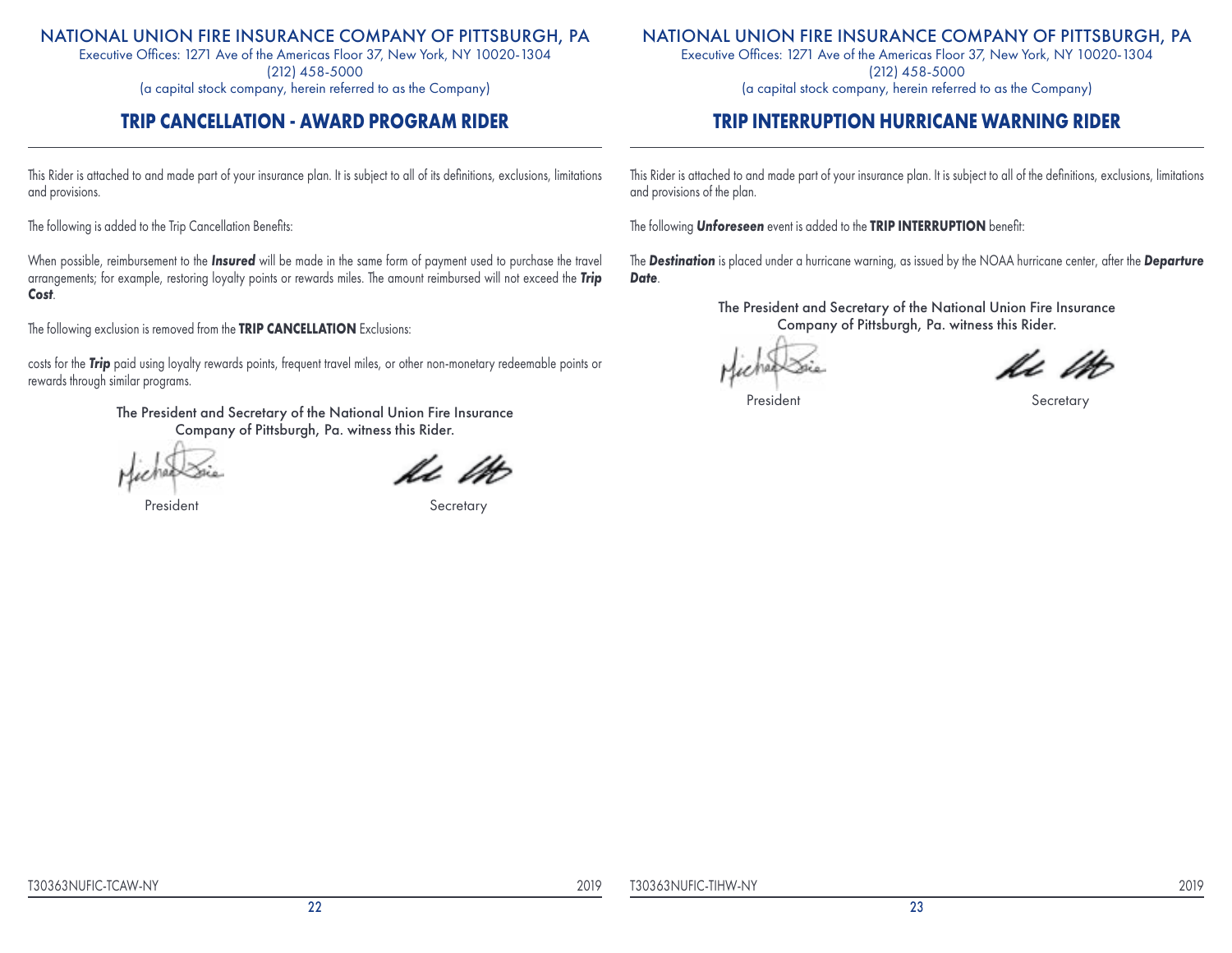Executive Offices: 1271 Ave of the Americas Floor 37, New York, NY 10020-1304 (212) 458-5000 (a capital stock company, herein referred to as the Company)

## **TRIP CANCELLATION - AWARD PROGRAM RIDER**

This Rider is attached to and made part of your insurance plan. It is subject to all of its definitions, exclusions, limitations and provisions.

The following is added to the Trip Cancellation Benefits:

When possible, reimbursement to the *Insured* will be made in the same form of payment used to purchase the travel arrangements; for example, restoring loyalty points or rewards miles. The amount reimbursed will not exceed the *Trip Cost*.

The following exclusion is removed from the **TRIP CANCELLATION** Exclusions:

costs for the *Trip* paid using loyalty rewards points, frequent travel miles, or other non-monetary redeemable points or rewards through similar programs.

> The President and Secretary of the National Union Fire Insurance Company of Pittsburgh, Pa. witness this Rider.

President Secretary

## NATIONAL UNION FIRE INSURANCE COMPANY OF PITTSBURGH, PA

Executive Offices: 1271 Ave of the Americas Floor 37, New York, NY 10020-1304 (212) 458-5000

(a capital stock company, herein referred to as the Company)

## **TRIP INTERRUPTION HURRICANE WARNING RIDER**

This Rider is attached to and made part of your insurance plan. It is subject to all of the definitions, exclusions, limitations and provisions of the plan.

The following *Unforeseen* event is added to the **TRIP INTERRUPTION** benefit:

The *Destination* is placed under a hurricane warning, as issued by the NOAA hurricane center, after the *Departure Date*.

V. l

President Secretary Secretary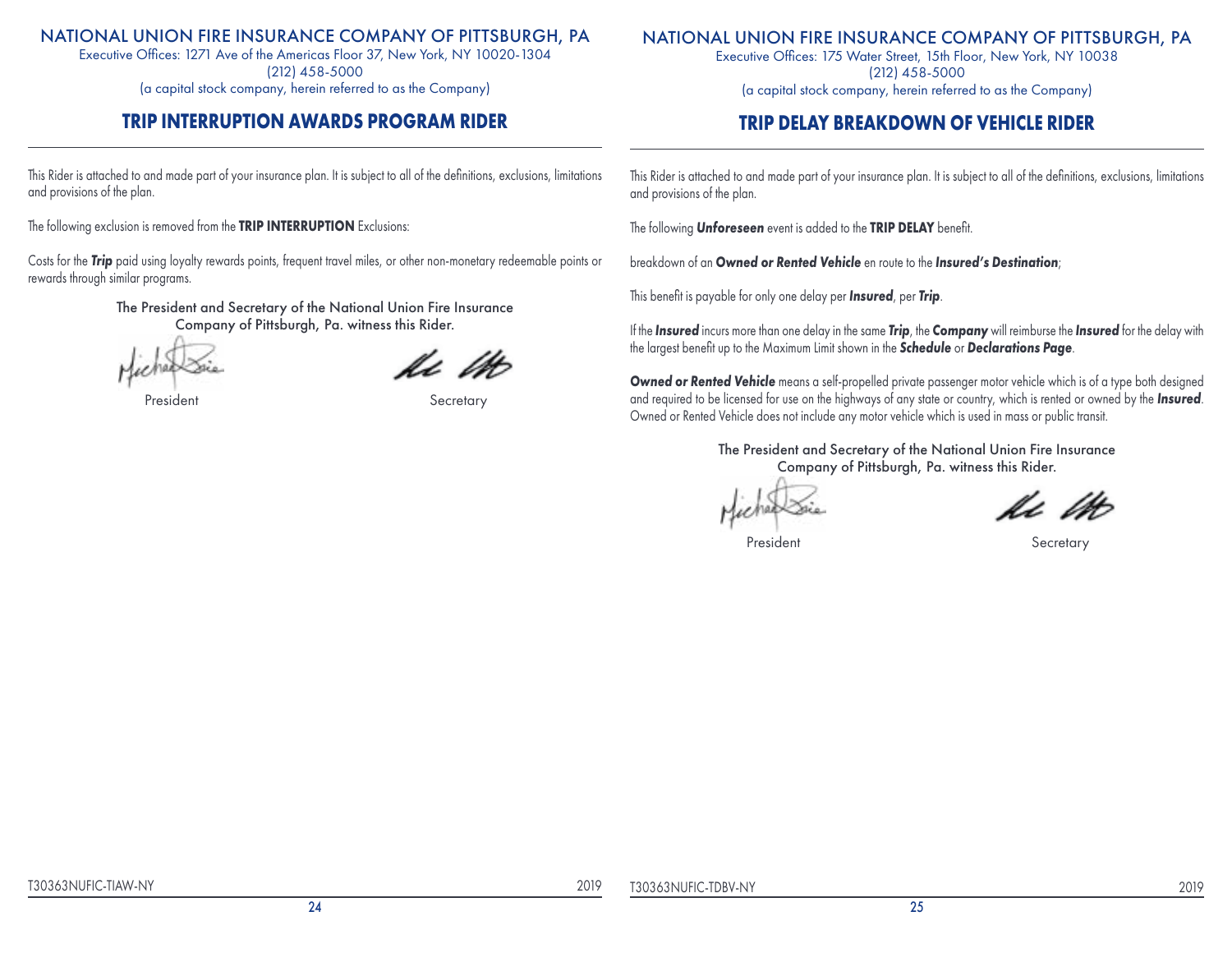Executive Offices: 1271 Ave of the Americas Floor 37, New York, NY 10020-1304 (212) 458-5000 (a capital stock company, herein referred to as the Company)

## **TRIP INTERRUPTION AWARDS PROGRAM RIDER**

This Rider is attached to and made part of your insurance plan. It is subject to all of the definitions, exclusions, limitations and provisions of the plan.

The following exclusion is removed from the **TRIP INTERRUPTION** Exclusions:

Costs for the *Trip* paid using loyalty rewards points, frequent travel miles, or other non-monetary redeemable points or rewards through similar programs.

> The President and Secretary of the National Union Fire Insurance Company of Pittsburgh, Pa. witness this Rider.

President Secretary

## NATIONAL UNION FIRE INSURANCE COMPANY OF PITTSBURGH, PA

Executive Offices: 175 Water Street, 15th Floor, New York, NY 10038 (212) 458-5000 (a capital stock company, herein referred to as the Company)

## **TRIP DELAY BREAKDOWN OF VEHICLE RIDER**

This Rider is attached to and made part of your insurance plan. It is subject to all of the definitions, exclusions, limitations and provisions of the plan.

The following *Unforeseen* event is added to the **TRIP DELAY** benefit.

breakdown of an *Owned or Rented Vehicle* en route to the *Insured's Destination*;

This benefit is payable for only one delay per *Insured*, per *Trip*.

If the *Insured* incurs more than one delay in the same *Trip*, the *Company* will reimburse the *Insured* for the delay with the largest benefit up to the Maximum Limit shown in the *Schedule* or *Declarations Page*.

*Owned or Rented Vehicle* means a self-propelled private passenger motor vehicle which is of a type both designed and required to be licensed for use on the highways of any state or country, which is rented or owned by the *Insured*. Owned or Rented Vehicle does not include any motor vehicle which is used in mass or public transit.

President Secretary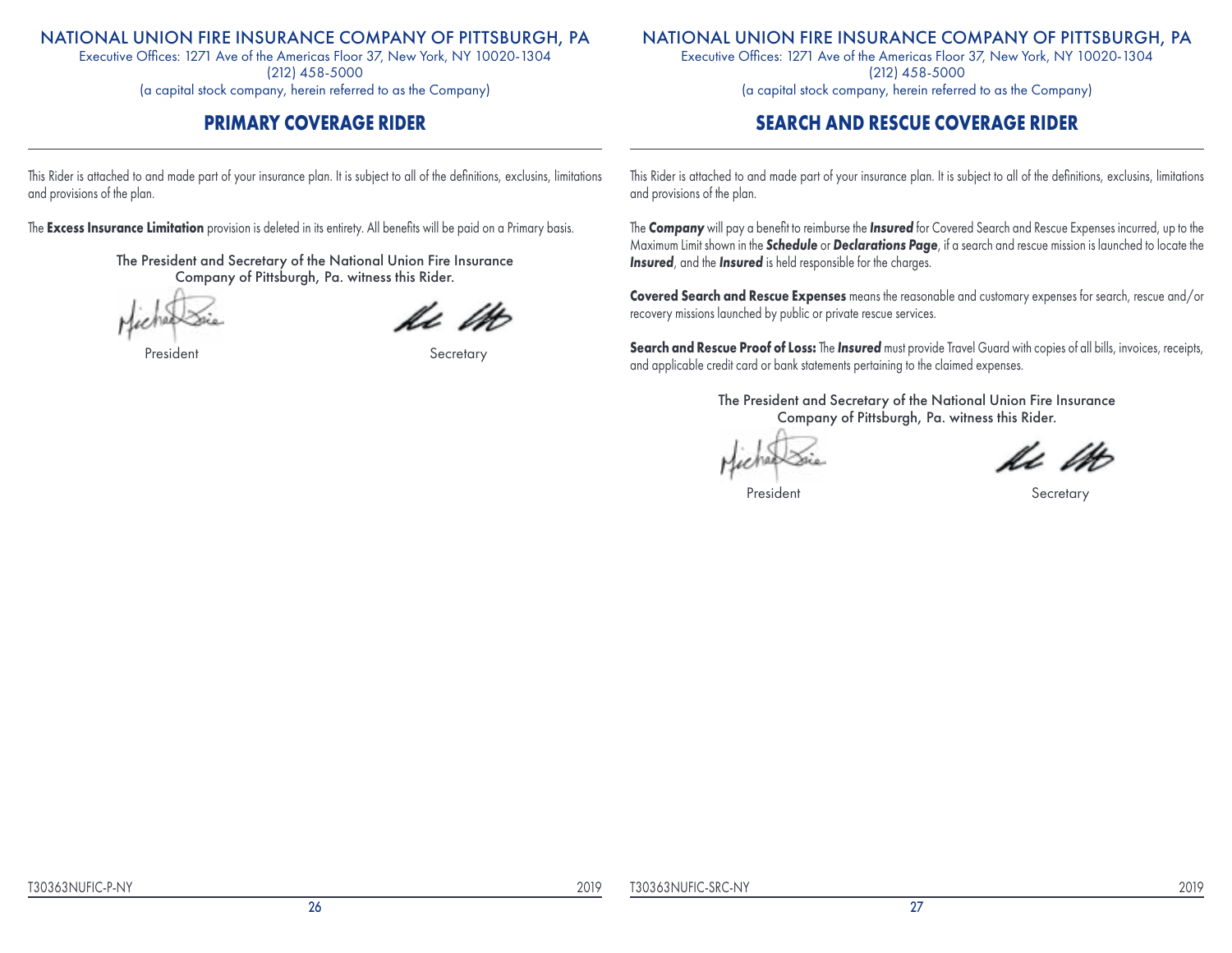Executive Offices: 1271 Ave of the Americas Floor 37, New York, NY 10020-1304 (212) 458-5000

(a capital stock company, herein referred to as the Company)

## **PRIMARY COVERAGE RIDER**

This Rider is attached to and made part of your insurance plan. It is subject to all of the definitions, exclusins, limitations and provisions of the plan.

The **Excess Insurance Limitation** provision is deleted in its entirety. All benefits will be paid on a Primary basis.

The President and Secretary of the National Union Fire Insurance Company of Pittsburgh, Pa. witness this Rider.

President **Secretary** 

## NATIONAL UNION FIRE INSURANCE COMPANY OF PITTSBURGH, PA

Executive Offices: 1271 Ave of the Americas Floor 37, New York, NY 10020-1304 (212) 458-5000 (a capital stock company, herein referred to as the Company)

## **SEARCH AND RESCUE COVERAGE RIDER**

This Rider is attached to and made part of your insurance plan. It is subject to all of the definitions, exclusins, limitations and provisions of the plan.

The *Company* will pay a benefit to reimburse the *Insured* for Covered Search and Rescue Expenses incurred, up to the Maximum Limit shown in the *Schedule* or *Declarations Page*, if a search and rescue mission is launched to locate the *Insured*, and the *Insured* is held responsible for the charges.

**Covered Search and Rescue Expenses** means the reasonable and customary expenses for search, rescue and/or recovery missions launched by public or private rescue services.

**Search and Rescue Proof of Loss:** The *Insured* must provide Travel Guard with copies of all bills, invoices, receipts, and applicable credit card or bank statements pertaining to the claimed expenses.

President Secretary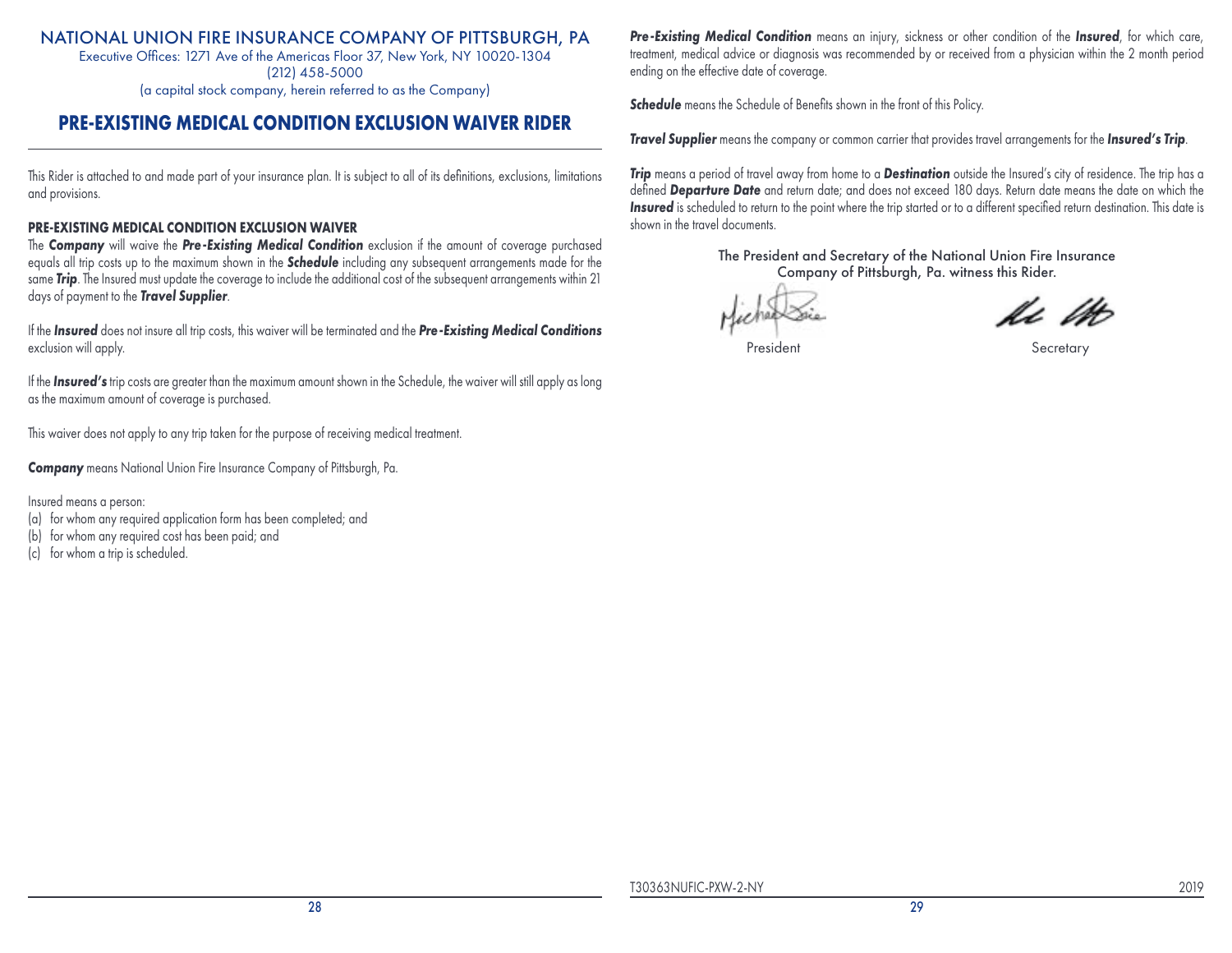Executive Offices: 1271 Ave of the Americas Floor 37, New York, NY 10020-1304 (212) 458-5000

(a capital stock company, herein referred to as the Company)

## **PRE-EXISTING MEDICAL CONDITION EXCLUSION WAIVER RIDER**

This Rider is attached to and made part of your insurance plan. It is subject to all of its definitions, exclusions, limitations and provisions.

#### **PRE-EXISTING MEDICAL CONDITION EXCLUSION WAIVER**

The *Company* will waive the *Pre-Existing Medical Condition* exclusion if the amount of coverage purchased equals all trip costs up to the maximum shown in the *Schedule* including any subsequent arrangements made for the same *Trip*. The Insured must update the coverage to include the additional cost of the subsequent arrangements within 21 days of payment to the *Travel Supplier*.

If the *Insured* does not insure all trip costs, this waiver will be terminated and the *Pre-Existing Medical Conditions* exclusion will apply.

If the *Insured's* trip costs are greater than the maximum amount shown in the Schedule, the waiver will still apply as long as the maximum amount of coverage is purchased.

This waiver does not apply to any trip taken for the purpose of receiving medical treatment.

*Company* means National Union Fire Insurance Company of Pittsburgh, Pa.

Insured means a person:

- (a) for whom any required application form has been completed; and
- (b) for whom any required cost has been paid; and
- (c) for whom a trip is scheduled.

*Pre-Existing Medical Condition* means an injury, sickness or other condition of the *Insured*, for which care, treatment, medical advice or diagnosis was recommended by or received from a physician within the 2 month period ending on the effective date of coverage.

**Schedule** means the Schedule of Benefits shown in the front of this Policy.

*Travel Supplier* means the company or common carrier that provides travel arrangements for the *Insured's Trip*.

*Trip* means a period of travel away from home to a *Destination* outside the Insured's city of residence. The trip has a defined *Departure Date* and return date; and does not exceed 180 days. Return date means the date on which the *Insured* is scheduled to return to the point where the trip started or to a different specified return destination. This date is shown in the travel documents.

Vz le

President Secretary Secretary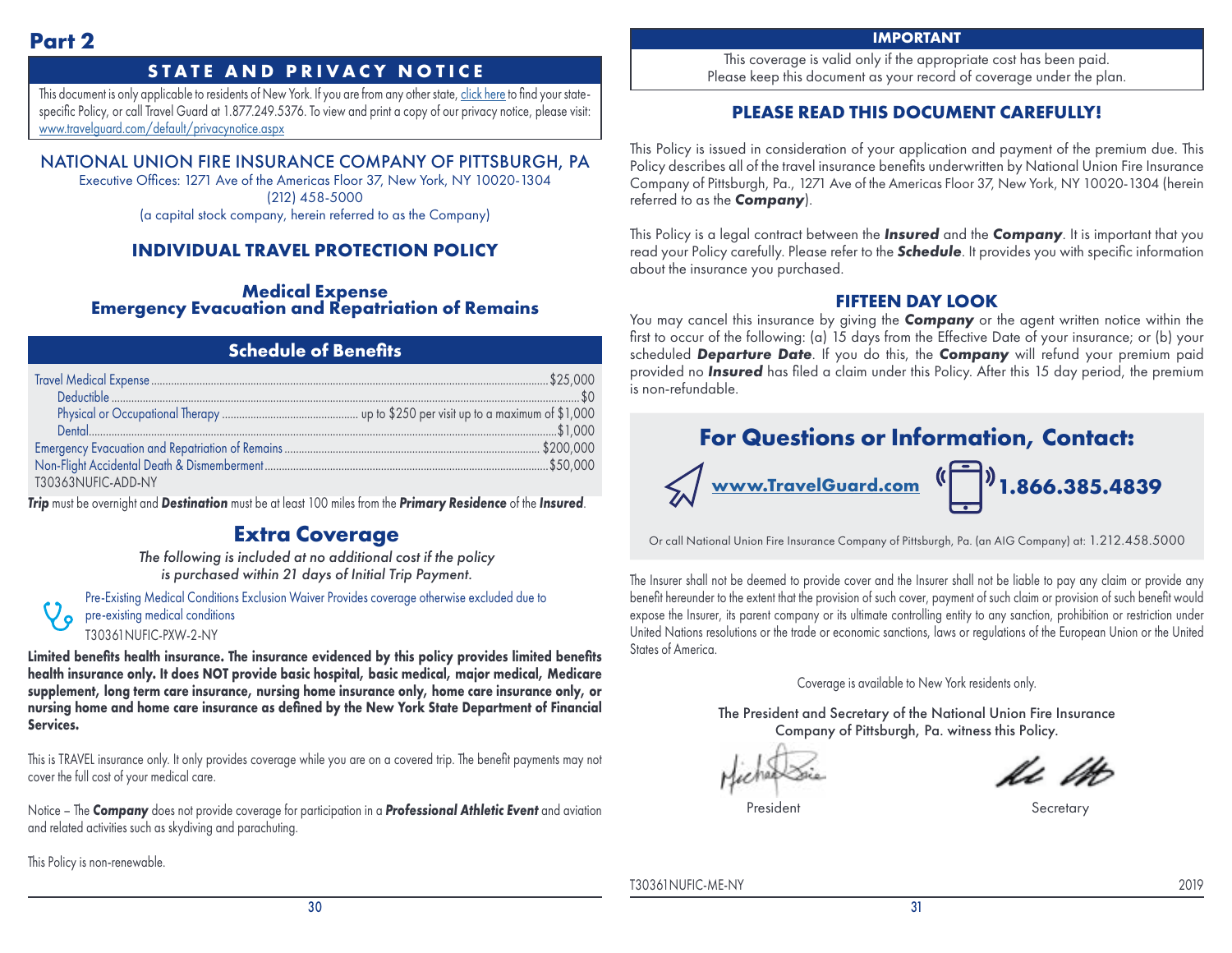## **STATE AND PRIVACY NOTICE**

This document is only applicable to residents of New York. If you are from any other state, [click here](https://webservices.travelguard.com/Product/FileRetrieval.aspx?CountryCode=US&StateCode=AL&ProductCode=940101&PlanCode=NW&FileType=PROD_PLAN_GM) to find your statespecific Policy, or call Travel Guard at 1.877.249.5376. To view and print a copy of our privacy notice, please visit: [www.travelguard.com/default/privacynotice.aspx](http://www.travelguard.com/default/privacynotice.aspx)

## NATIONAL UNION FIRE INSURANCE COMPANY OF PITTSBURGH, PA

Executive Offices: 1271 Ave of the Americas Floor 37, New York, NY 10020-1304 (212) 458-5000 (a capital stock company, herein referred to as the Company)

## **INDIVIDUAL TRAVEL PROTECTION POLICY**

**Medical Expense Emergency Evacuation and Repatriation of Remains**

## **Schedule of Benefits**

| T30363NUFIC-ADD-NY |  |
|--------------------|--|

*Trip* must be overnight and *Destination* must be at least 100 miles from the *Primary Residence* of the *Insured*.

## **Extra Coverage**

*The following is included at no additional cost if the policy is purchased within 21 days of Initial Trip Payment.*

Pre-Existing Medical Conditions Exclusion Waiver Provides coverage otherwise excluded due to pre-existing medical conditions

T30361NUFIC-PXW-2-NY

**Limited benefits health insurance. The insurance evidenced by this policy provides limited benefits health insurance only. It does NOT provide basic hospital, basic medical, major medical, Medicare supplement, long term care insurance, nursing home insurance only, home care insurance only, or nursing home and home care insurance as defined by the New York State Department of Financial Services.**

This is TRAVEL insurance only. It only provides coverage while you are on a covered trip. The benefit payments may not cover the full cost of your medical care.

Notice – The *Company* does not provide coverage for participation in a *Professional Athletic Event* and aviation and related activities such as skydiving and parachuting.

This Policy is non-renewable.

 $\mathcal{P}$ 

#### **IMPORTANT**

This coverage is valid only if the appropriate cost has been paid. Please keep this document as your record of coverage under the plan.

## **PLEASE READ THIS DOCUMENT CAREFULLY!**

This Policy is issued in consideration of your application and payment of the premium due. This Policy describes all of the travel insurance benefits underwritten by National Union Fire Insurance Company of Pittsburgh, Pa., 1271 Ave of the Americas Floor 37, New York, NY 10020-1304 (herein referred to as the *Company*).

This Policy is a legal contract between the *Insured* and the *Company*. It is important that you read your Policy carefully. Please refer to the *Schedule*. It provides you with specific information about the insurance you purchased.

## **FIFTEEN DAY LOOK**

You may cancel this insurance by giving the **Company** or the agent written notice within the first to occur of the following: (a) 15 days from the Effective Date of your insurance; or (b) your scheduled *Departure Date*. If you do this, the *Company* will refund your premium paid provided no *Insured* has filed a claim under this Policy. After this 15 day period, the premium is non-refundable.



Or call National Union Fire Insurance Company of Pittsburgh, Pa. (an AIG Company) at: 1.212.458.5000

The Insurer shall not be deemed to provide cover and the Insurer shall not be liable to pay any claim or provide any benefit hereunder to the extent that the provision of such cover, payment of such claim or provision of such benefit would expose the Insurer, its parent company or its ultimate controlling entity to any sanction, prohibition or restriction under United Nations resolutions or the trade or economic sanctions, laws or regulations of the European Union or the United States of America.

Coverage is available to New York residents only.

The President and Secretary of the National Union Fire Insurance Company of Pittsburgh, Pa. witness this Policy.

President Secretary Secretary

T30361NUFIC-ME-NY 2019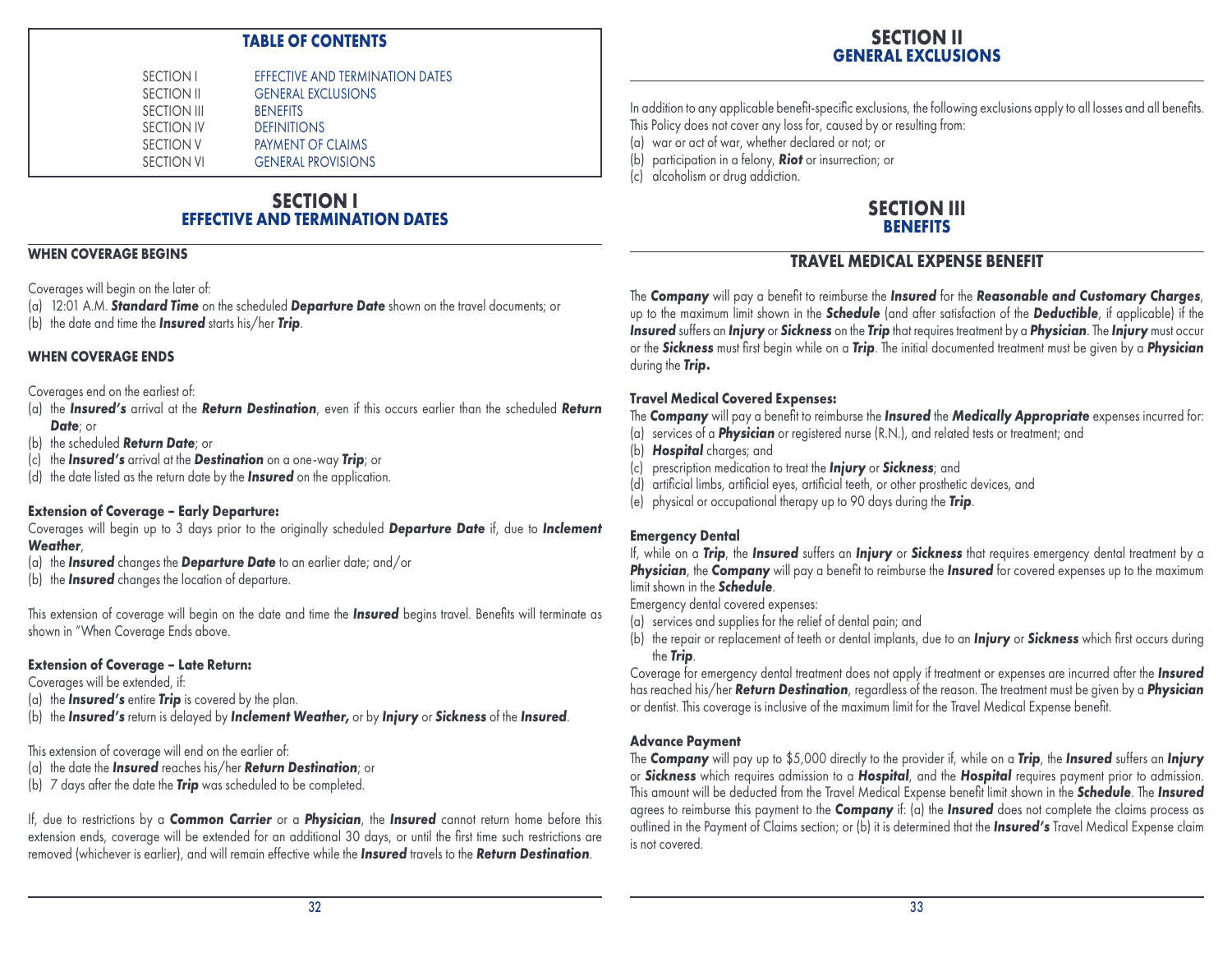## **TABLE OF CONTENTS**

| EFFECTIVE AND TERMINATION DATES |
|---------------------------------|
|                                 |
|                                 |
|                                 |
|                                 |
|                                 |
|                                 |

## **SECTION I EFFECTIVE AND TERMINATION DATES**

#### **WHEN COVERAGE BEGINS**

Coverages will begin on the later of:

(a) 12:01 A.M. *Standard Time* on the scheduled *Departure Date* shown on the travel documents; or (b) the date and time the *Insured* starts his/her *Trip*.

#### **WHEN COVERAGE ENDS**

Coverages end on the earliest of:

- (a) the *Insured's* arrival at the *Return Destination*, even if this occurs earlier than the scheduled *Return Date*; or
- (b) the scheduled *Return Date*; or
- (c) the *Insured's* arrival at the *Destination* on a one-way *Trip*; or
- (d) the date listed as the return date by the *Insured* on the application.

#### **Extension of Coverage – Early Departure:**

Coverages will begin up to 3 days prior to the originally scheduled *Departure Date* if, due to *Inclement Weather*,

- (a) the *Insured* changes the *Departure Date* to an earlier date; and/or
- (b) the *Insured* changes the location of departure.

This extension of coverage will begin on the date and time the *Insured* begins travel. Benefits will terminate as shown in "When Coverage Ends above.

#### **Extension of Coverage – Late Return:**

Coverages will be extended, if:

- (a) the *Insured's* entire *Trip* is covered by the plan.
- (b) the *Insured's* return is delayed by *Inclement Weather,* or by *Injury* or *Sickness* of the *Insured*.

This extension of coverage will end on the earlier of:

- (a) the date the *Insured* reaches his/her *Return Destination*; or
- (b) 7 days after the date the *Trip* was scheduled to be completed.

If, due to restrictions by a *Common Carrier* or a *Physician*, the *Insured* cannot return home before this extension ends, coverage will be extended for an additional 30 days, or until the first time such restrictions are removed (whichever is earlier), and will remain effective while the *Insured* travels to the *Return Destination*.

In addition to any applicable benefit-specific exclusions, the following exclusions apply to all losses and all benefits. This Policy does not cover any loss for, caused by or resulting from:

- (a) war or act of war, whether declared or not; or
- (b) participation in a felony, *Riot* or insurrection; or
- (c) alcoholism or drug addiction.

## **SECTION III BENEFITS**

## **TRAVEL MEDICAL EXPENSE BENEFIT**

The *Company* will pay a benefit to reimburse the *Insured* for the *Reasonable and Customary Charges*, up to the maximum limit shown in the *Schedule* (and after satisfaction of the *Deductible*, if applicable) if the *Insured* suffers an *Injury* or *Sickness* on the *Trip* that requires treatment by a *Physician*. The *Injury* must occur or the *Sickness* must first begin while on a *Trip*. The initial documented treatment must be given by a *Physician*  during the *Trip.*

## **Travel Medical Covered Expenses:**

The *Company* will pay a benefit to reimburse the *Insured* the *Medically Appropriate* expenses incurred for:

- (a) services of a *Physician* or registered nurse (R.N.), and related tests or treatment; and
- (b) *Hospital* charges; and
- (c) prescription medication to treat the *Injury* or *Sickness*; and
- (d) artificial limbs, artificial eyes, artificial teeth, or other prosthetic devices, and
- (e) physical or occupational therapy up to 90 days during the *Trip*.

## **Emergency Dental**

If, while on a *Trip*, the *Insured* suffers an *Injury* or *Sickness* that requires emergency dental treatment by a **Physician**, the **Company** will pay a benefit to reimburse the *Insured* for covered expenses up to the maximum limit shown in the *Schedule*.

Emergency dental covered expenses:

- (a) services and supplies for the relief of dental pain; and
- (b) the repair or replacement of teeth or dental implants, due to an *Injury* or *Sickness* which first occurs during the *Trip*.

Coverage for emergency dental treatment does not apply if treatment or expenses are incurred after the *Insured* has reached his/her *Return Destination*, regardless of the reason. The treatment must be given by a *Physician* or dentist. This coverage is inclusive of the maximum limit for the Travel Medical Expense benefit.

## **Advance Payment**

The *Company* will pay up to \$5,000 directly to the provider if, while on a *Trip*, the *Insured* suffers an *Injury* or *Sickness* which requires admission to a *Hospital*, and the *Hospital* requires payment prior to admission. This amount will be deducted from the Travel Medical Expense benefit limit shown in the *Schedule*. The *Insured* agrees to reimburse this payment to the *Company* if: (a) the *Insured* does not complete the claims process as outlined in the Payment of Claims section; or (b) it is determined that the *Insured's* Travel Medical Expense claim is not covered.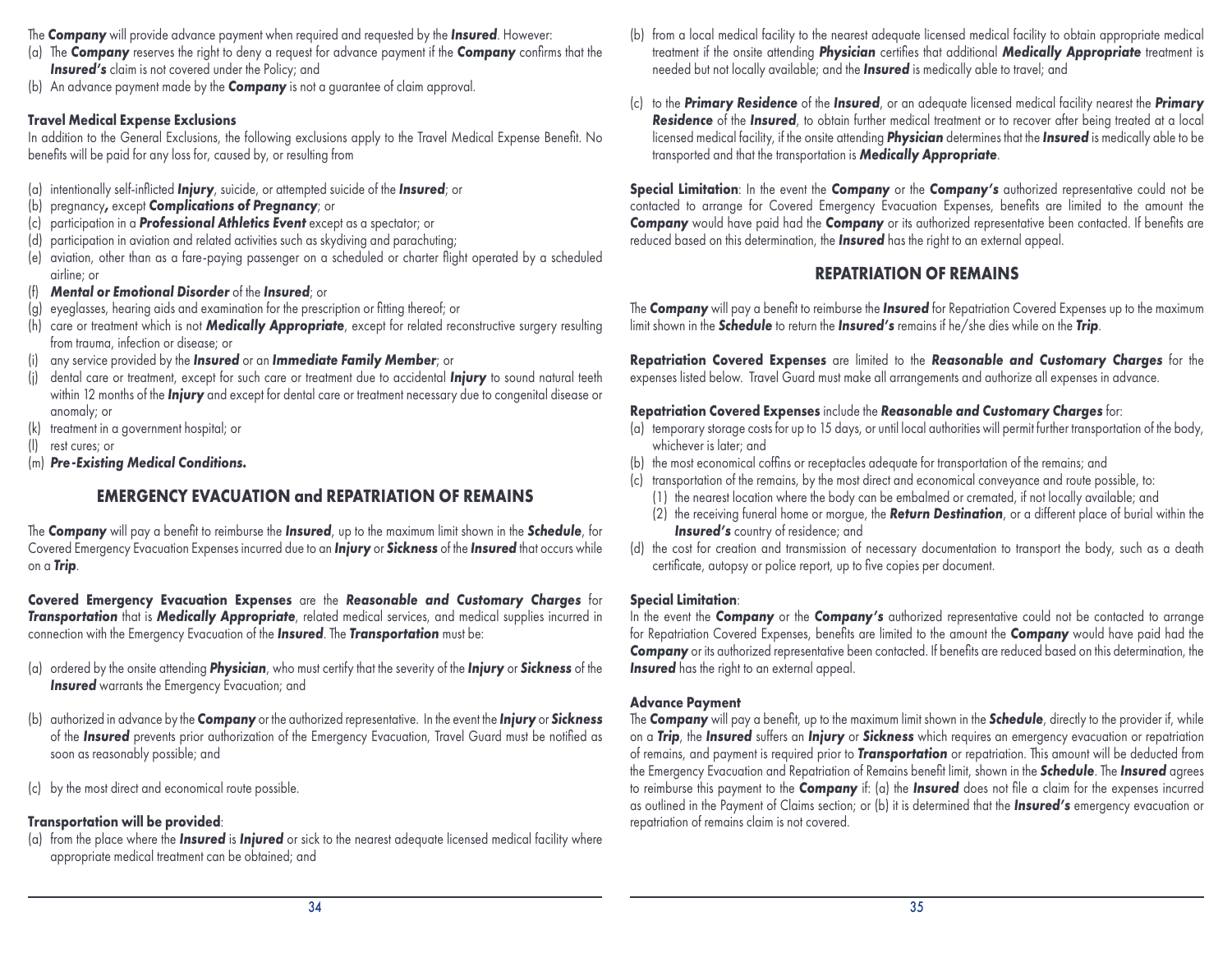- The *Company* will provide advance payment when required and requested by the *Insured*. However:
- (a) The *Company* reserves the right to deny a request for advance payment if the *Company* confirms that the **Insured's** claim is not covered under the Policy; and
- (b) An advance payment made by the *Company* is not a guarantee of claim approval.

#### **Travel Medical Expense Exclusions**

In addition to the General Exclusions, the following exclusions apply to the Travel Medical Expense Benefit. No benefits will be paid for any loss for, caused by, or resulting from

- (a) intentionally self-inflicted *Injury*, suicide, or attempted suicide of the *Insured*; or
- (b) pregnancy*,* except *Complications of Pregnancy*; or
- (c) participation in a *Professional Athletics Event* except as a spectator; or
- (d) participation in aviation and related activities such as skydiving and parachuting;
- (e) aviation, other than as a fare-paying passenger on a scheduled or charter flight operated by a scheduled airline; or
- (f) *Mental or Emotional Disorder* of the *Insured*; or
- (g) eyeglasses, hearing aids and examination for the prescription or fitting thereof; or
- (h) care or treatment which is not *Medically Appropriate*, except for related reconstructive surgery resulting from trauma, infection or disease; or
- (i) any service provided by the *Insured* or an *Immediate Family Member*; or
- (j) dental care or treatment, except for such care or treatment due to accidental *Injury* to sound natural teeth within 12 months of the *Injury* and except for dental care or treatment necessary due to congenital disease or anomaly; or
- (k) treatment in a government hospital; or
- (l) rest cures; or
- (m) *Pre-Existing Medical Conditions.*

## **EMERGENCY EVACUATION and REPATRIATION OF REMAINS**

The *Company* will pay a benefit to reimburse the *Insured*, up to the maximum limit shown in the *Schedule*, for Covered Emergency Evacuation Expenses incurred due to an *Injury* or *Sickness* of the *Insured* that occurs while on a *Trip*.

**Covered Emergency Evacuation Expenses** are the *Reasonable and Customary Charges* for *Transportation* that is *Medically Appropriate*, related medical services, and medical supplies incurred in connection with the Emergency Evacuation of the *Insured*. The *Transportation* must be:

- (a) ordered by the onsite attending *Physician*, who must certify that the severity of the *Injury* or *Sickness* of the **Insured** warrants the Emergency Evacuation; and
- (b) authorized in advance by the *Company* or the authorized representative. In the event the *Injury* or *Sickness* of the *Insured* prevents prior authorization of the Emergency Evacuation, Travel Guard must be notified as soon as reasonably possible; and
- (c) by the most direct and economical route possible.

## **Transportation will be provided**:

(a) from the place where the *Insured* is *Injured* or sick to the nearest adequate licensed medical facility where appropriate medical treatment can be obtained; and

- (b) from a local medical facility to the nearest adequate licensed medical facility to obtain appropriate medical treatment if the onsite attending *Physician* certifies that additional *Medically Appropriate* treatment is needed but not locally available; and the *Insured* is medically able to travel; and
- (c) to the *Primary Residence* of the *Insured*, or an adequate licensed medical facility nearest the *Primary Residence* of the *Insured*, to obtain further medical treatment or to recover after being treated at a local licensed medical facility, if the onsite attending *Physician* determines that the *Insured* is medically able to be transported and that the transportation is *Medically Appropriate*.

**Special Limitation:** In the event the **Company** or the **Company's** authorized representative could not be contacted to arrange for Covered Emergency Evacuation Expenses, benefits are limited to the amount the **Company** would have paid had the *Company* or its authorized representative been contacted. If benefits are reduced based on this determination, the *Insured* has the right to an external appeal.

## **REPATRIATION OF REMAINS**

The *Company* will pay a benefit to reimburse the *Insured* for Repatriation Covered Expenses up to the maximum limit shown in the *Schedule* to return the *Insured's* remains if he/she dies while on the *Trip*.

**Repatriation Covered Expenses** are limited to the *Reasonable and Customary Charges* for the expenses listed below. Travel Guard must make all arrangements and authorize all expenses in advance.

## **Repatriation Covered Expenses** include the *Reasonable and Customary Charges* for:

- (a) temporary storage costs for up to 15 days, or until local authorities will permit further transportation of the body, whichever is later; and
- (b) the most economical coffins or receptacles adequate for transportation of the remains; and
- (c) transportation of the remains, by the most direct and economical conveyance and route possible, to:
	- (1) the nearest location where the body can be embalmed or cremated, if not locally available; and
	- (2) the receiving funeral home or morgue, the *Return Destination*, or a different place of burial within the *Insured's* country of residence; and
- (d) the cost for creation and transmission of necessary documentation to transport the body, such as a death certificate, autopsy or police report, up to five copies per document.

#### **Special Limitation**:

In the event the *Company* or the *Company's* authorized representative could not be contacted to arrange for Repatriation Covered Expenses, benefits are limited to the amount the *Company* would have paid had the **Company** or its authorized representative been contacted. If benefits are reduced based on this determination, the **Insured** has the right to an external appeal.

#### **Advance Payment**

The *Company* will pay a benefit, up to the maximum limit shown in the *Schedule*, directly to the provider if, while on a *Trip*, the *Insured* suffers an *Injury* or *Sickness* which requires an emergency evacuation or repatriation of remains, and payment is required prior to *Transportation* or repatriation. This amount will be deducted from the Emergency Evacuation and Repatriation of Remains benefit limit, shown in the *Schedule*. The *Insured* agrees to reimburse this payment to the *Company* if: (a) the *Insured* does not file a claim for the expenses incurred as outlined in the Payment of Claims section; or (b) it is determined that the *Insured's* emergency evacuation or repatriation of remains claim is not covered.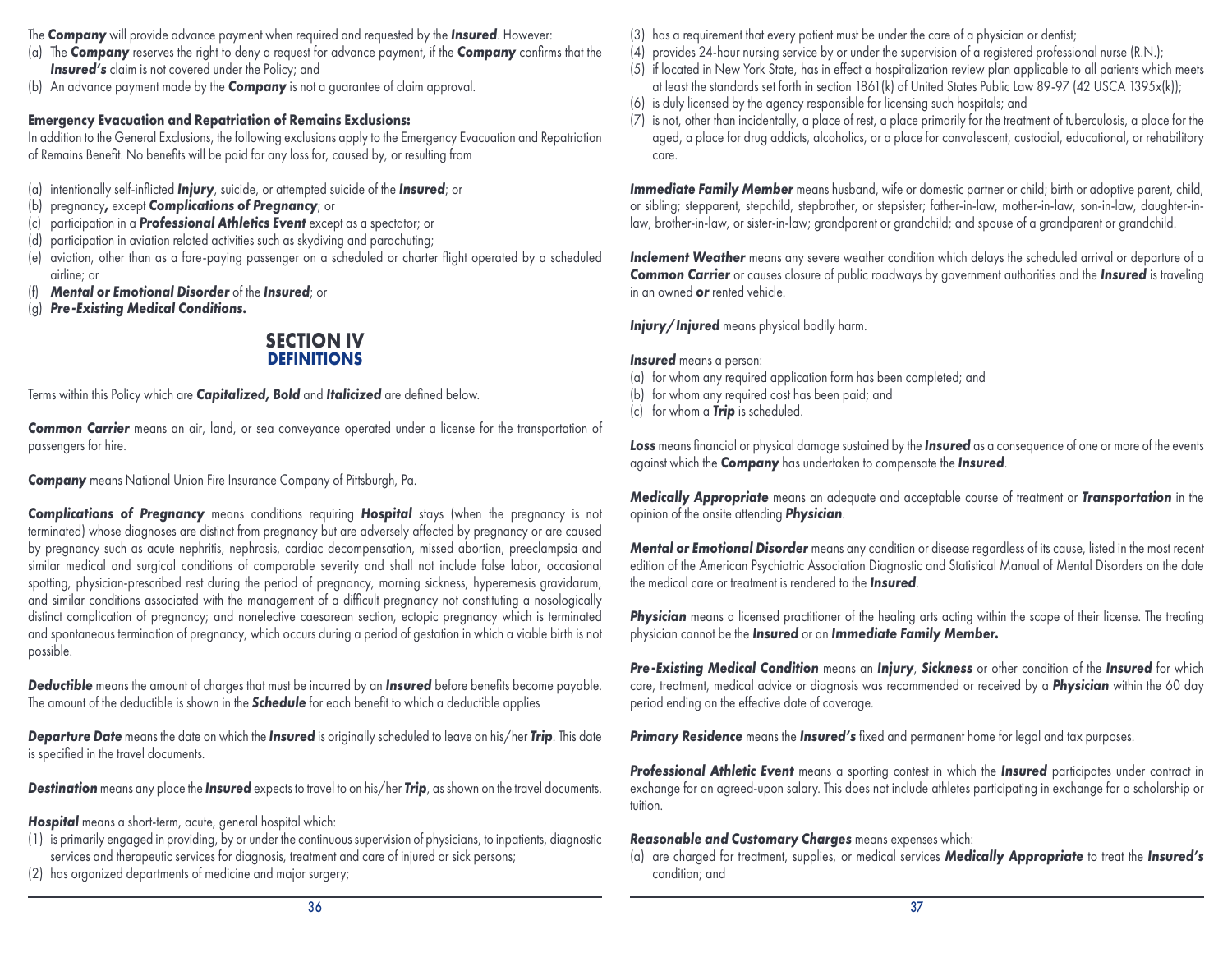- The *Company* will provide advance payment when required and requested by the *Insured*. However:
- (a) The *Company* reserves the right to deny a request for advance payment, if the *Company* confirms that the **Insured's** claim is not covered under the Policy; and
- (b) An advance payment made by the *Company* is not a guarantee of claim approval.

## **Emergency Evacuation and Repatriation of Remains Exclusions:**

In addition to the General Exclusions, the following exclusions apply to the Emergency Evacuation and Repatriation of Remains Benefit. No benefits will be paid for any loss for, caused by, or resulting from

- (a) intentionally self-inflicted *Injury*, suicide, or attempted suicide of the *Insured*; or
- (b) pregnancy*,* except *Complications of Pregnancy*; or
- (c) participation in a *Professional Athletics Event* except as a spectator; or
- (d) participation in aviation related activities such as skydiving and parachuting;
- (e) aviation, other than as a fare-paying passenger on a scheduled or charter flight operated by a scheduled airline; or
- (f) *Mental or Emotional Disorder* of the *Insured*; or
- (g) *Pre-Existing Medical Conditions.*

## **SECTION IV DEFINITIONS**

Terms within this Policy which are *Capitalized, Bold* and *Italicized* are defined below.

*Common Carrier* means an air, land, or sea conveyance operated under a license for the transportation of passengers for hire.

*Company* means National Union Fire Insurance Company of Pittsburgh, Pa.

*Complications of Pregnancy* means conditions requiring *Hospital* stays (when the pregnancy is not terminated) whose diagnoses are distinct from pregnancy but are adversely affected by pregnancy or are caused by pregnancy such as acute nephritis, nephrosis, cardiac decompensation, missed abortion, preeclampsia and similar medical and surgical conditions of comparable severity and shall not include false labor, occasional spotting, physician-prescribed rest during the period of pregnancy, morning sickness, hyperemesis gravidarum, and similar conditions associated with the management of a difficult pregnancy not constituting a nosologically distinct complication of pregnancy; and nonelective caesarean section, ectopic pregnancy which is terminated and spontaneous termination of pregnancy, which occurs during a period of gestation in which a viable birth is not possible.

*Deductible* means the amount of charges that must be incurred by an *Insured* before benefits become payable. The amount of the deductible is shown in the *Schedule* for each benefit to which a deductible applies

*Departure Date* means the date on which the *Insured* is originally scheduled to leave on his/her *Trip*. This date is specified in the travel documents.

*Destination* means any place the *Insured* expects to travel to on his/her *Trip*, as shown on the travel documents.

*Hospital* means a short-term, acute, general hospital which:

- (1) is primarily engaged in providing, by or under the continuous supervision of physicians, to inpatients, diagnostic services and therapeutic services for diagnosis, treatment and care of injured or sick persons;
- (2) has organized departments of medicine and major surgery;
- (3) has a requirement that every patient must be under the care of a physician or dentist;
- (4) provides 24-hour nursing service by or under the supervision of a registered professional nurse (R.N.);
- (5) if located in New York State, has in effect a hospitalization review plan applicable to all patients which meets at least the standards set forth in section 1861(k) of United States Public Law 89-97 (42 USCA 1395x(k));
- (6) is duly licensed by the agency responsible for licensing such hospitals; and
- (7) is not, other than incidentally, a place of rest, a place primarily for the treatment of tuberculosis, a place for the aged, a place for drug addicts, alcoholics, or a place for convalescent, custodial, educational, or rehabilitory care.

*Immediate Family Member* means husband, wife or domestic partner or child; birth or adoptive parent, child, or sibling; stepparent, stepchild, stepbrother, or stepsister; father-in-law, mother-in-law, son-in-law, daughter-inlaw, brother-in-law, or sister-in-law; grandparent or grandchild; and spouse of a grandparent or grandchild.

*Inclement Weather* means any severe weather condition which delays the scheduled arrival or departure of a *Common Carrier* or causes closure of public roadways by government authorities and the *Insured* is traveling in an owned *or* rented vehicle.

*Injury/Injured* means physical bodily harm.

*Insured* means a person:

- (a) for whom any required application form has been completed; and
- (b) for whom any required cost has been paid; and
- (c) for whom a *Trip* is scheduled.

*Loss* means financial or physical damage sustained by the *Insured* as a consequence of one or more of the events against which the *Company* has undertaken to compensate the *Insured*.

*Medically Appropriate* means an adequate and acceptable course of treatment or *Transportation* in the opinion of the onsite attending *Physician*.

*Mental or Emotional Disorder* means any condition or disease regardless of its cause, listed in the most recent edition of the American Psychiatric Association Diagnostic and Statistical Manual of Mental Disorders on the date the medical care or treatment is rendered to the *Insured*.

**Physician** means a licensed practitioner of the healing arts acting within the scope of their license. The treating physician cannot be the *Insured* or an *Immediate Family Member.*

*Pre-Existing Medical Condition* means an *Injury*, *Sickness* or other condition of the *Insured* for which care, treatment, medical advice or diagnosis was recommended or received by a *Physician* within the 60 day period ending on the effective date of coverage.

*Primary Residence* means the *Insured's* fixed and permanent home for legal and tax purposes.

**Professional Athletic Event** means a sporting contest in which the *Insured* participates under contract in exchange for an agreed-upon salary. This does not include athletes participating in exchange for a scholarship or tuition.

## *Reasonable and Customary Charges* means expenses which:

(a) are charged for treatment, supplies, or medical services *Medically Appropriate* to treat the *Insured's* condition; and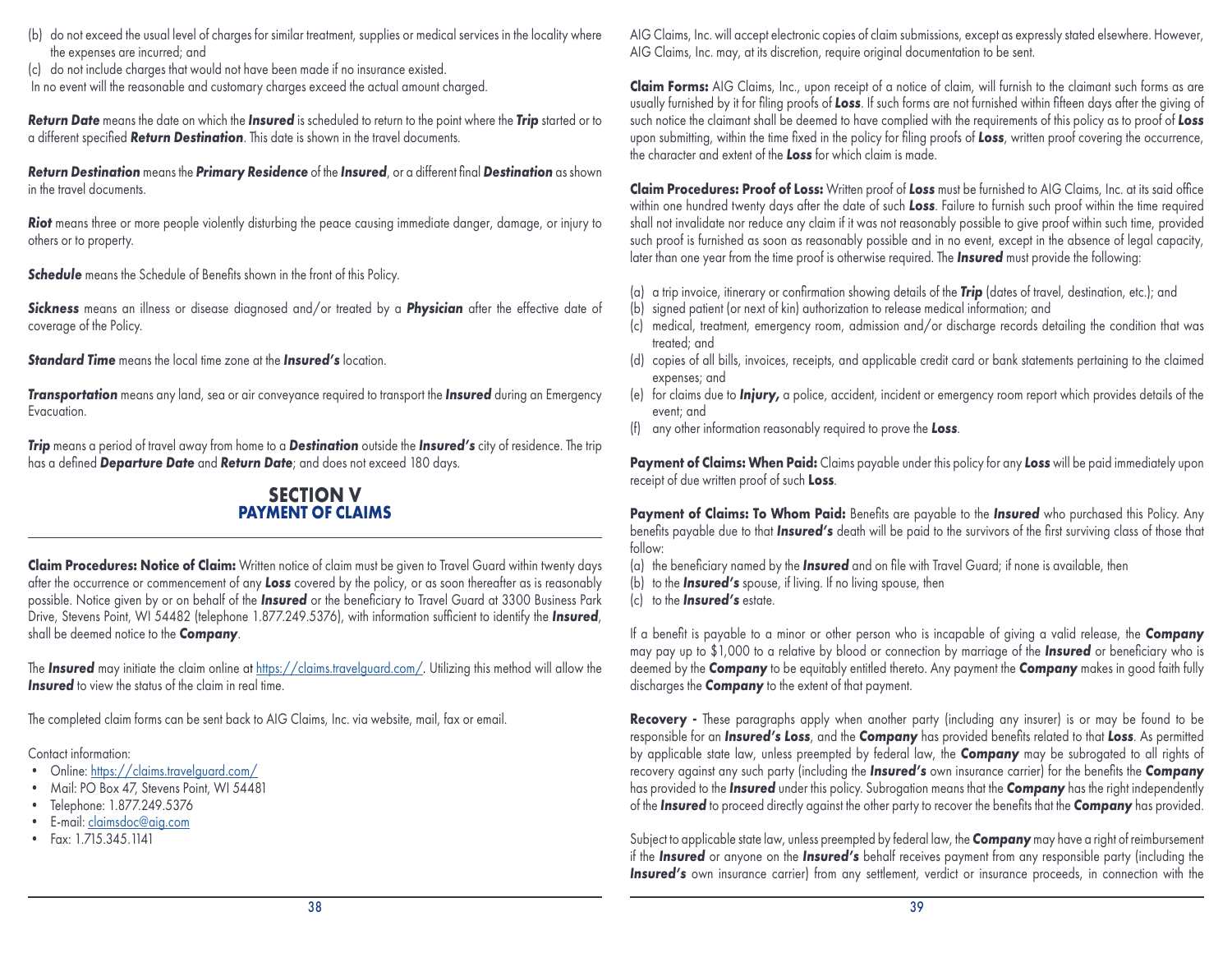- (b) do not exceed the usual level of charges for similar treatment, supplies or medical services in the locality where the expenses are incurred; and
- (c) do not include charges that would not have been made if no insurance existed. In no event will the reasonable and customary charges exceed the actual amount charged.

*Return Date* means the date on which the *Insured* is scheduled to return to the point where the *Trip* started or to a different specified *Return Destination*. This date is shown in the travel documents.

*Return Destination* means the *Primary Residence* of the *Insured*, or a different final *Destination* as shown in the travel documents.

*Riot* means three or more people violently disturbing the peace causing immediate danger, damage, or injury to others or to property.

**Schedule** means the Schedule of Benefits shown in the front of this Policy.

*Sickness* means an illness or disease diagnosed and/or treated by a *Physician* after the effective date of coverage of the Policy.

*Standard Time* means the local time zone at the *Insured's* location.

*Transportation* means any land, sea or air conveyance required to transport the *Insured* during an Emergency Evacuation.

*Trip* means a period of travel away from home to a *Destination* outside the *Insured's* city of residence. The trip has a defined *Departure Date* and *Return Date*; and does not exceed 180 days.

## **SECTION V PAYMENT OF CLAIMS**

**Claim Procedures: Notice of Claim:** Written notice of claim must be given to Travel Guard within twenty days after the occurrence or commencement of any *Loss* covered by the policy, or as soon thereafter as is reasonably possible. Notice given by or on behalf of the *Insured* or the beneficiary to Travel Guard at 3300 Business Park Drive, Stevens Point, WI 54482 (telephone 1.877.249.5376), with information sufficient to identify the *Insured*, shall be deemed notice to the *Company*.

The **Insured** may initiate the claim online at [https://claims.travelguard.com/.](https://claims.travelguard.com/) Utilizing this method will allow the **Insured** to view the status of the claim in real time.

The completed claim forms can be sent back to AIG Claims, Inc. via website, mail, fax or email.

Contact information:

- Online: https://claims.travelauard.com/
- Mail: PO Box 47, Stevens Point, WI 54481
- Telephone: 1.877.249.5376
- E-mail: [claimsdoc@aig.com](mailto:%20claimsdoc%40aig.com?subject=)
- Fax: 1.715.345.1141

AIG Claims, Inc. will accept electronic copies of claim submissions, except as expressly stated elsewhere. However, AIG Claims, Inc. may, at its discretion, require original documentation to be sent.

**Claim Forms:** AIG Claims, Inc., upon receipt of a notice of claim, will furnish to the claimant such forms as are usually furnished by it for filing proofs of *Loss*. If such forms are not furnished within fifteen days after the giving of such notice the claimant shall be deemed to have complied with the requirements of this policy as to proof of *Loss* upon submitting, within the time fixed in the policy for filing proofs of *Loss*, written proof covering the occurrence, the character and extent of the *Loss* for which claim is made.

**Claim Procedures: Proof of Loss:** Written proof of *Loss* must be furnished to AIG Claims, Inc. at its said office within one hundred twenty days after the date of such *Loss*. Failure to furnish such proof within the time required shall not invalidate nor reduce any claim if it was not reasonably possible to give proof within such time, provided such proof is furnished as soon as reasonably possible and in no event, except in the absence of legal capacity, later than one year from the time proof is otherwise required. The *Insured* must provide the following:

- (a) a trip invoice, itinerary or confirmation showing details of the *Trip* (dates of travel, destination, etc.); and
- (b) signed patient (or next of kin) authorization to release medical information; and
- (c) medical, treatment, emergency room, admission and/or discharge records detailing the condition that was treated; and
- (d) copies of all bills, invoices, receipts, and applicable credit card or bank statements pertaining to the claimed expenses; and
- (e) for claims due to *Injury,* a police, accident, incident or emergency room report which provides details of the event; and
- (f) any other information reasonably required to prove the *Loss*.

**Payment of Claims: When Paid:** Claims payable under this policy for any *Loss* will be paid immediately upon receipt of due written proof of such **Loss**.

**Payment of Claims: To Whom Paid:** Benefits are payable to the *Insured* who purchased this Policy. Any benefits payable due to that *Insured's* death will be paid to the survivors of the first surviving class of those that follow:

- (a) the beneficiary named by the *Insured* and on file with Travel Guard; if none is available, then
- (b) to the *Insured's* spouse, if living. If no living spouse, then
- (c) to the *Insured's* estate.

If a benefit is payable to a minor or other person who is incapable of giving a valid release, the *Company* may pay up to \$1,000 to a relative by blood or connection by marriage of the *Insured* or beneficiary who is deemed by the *Company* to be equitably entitled thereto. Any payment the *Company* makes in good faith fully discharges the *Company* to the extent of that payment.

**Recovery -** These paragraphs apply when another party (including any insurer) is or may be found to be responsible for an *Insured's Loss*, and the *Company* has provided benefits related to that *Loss*. As permitted by applicable state law, unless preempted by federal law, the *Company* may be subrogated to all rights of recovery against any such party (including the *Insured's* own insurance carrier) for the benefits the *Company*  has provided to the *Insured* under this policy. Subrogation means that the *Company* has the right independently of the *Insured* to proceed directly against the other party to recover the benefits that the *Company* has provided.

Subject to applicable state law, unless preempted by federal law, the *Company* may have a right of reimbursement if the *Insured* or anyone on the *Insured's* behalf receives payment from any responsible party (including the **Insured's** own insurance carrier) from any settlement, verdict or insurance proceeds, in connection with the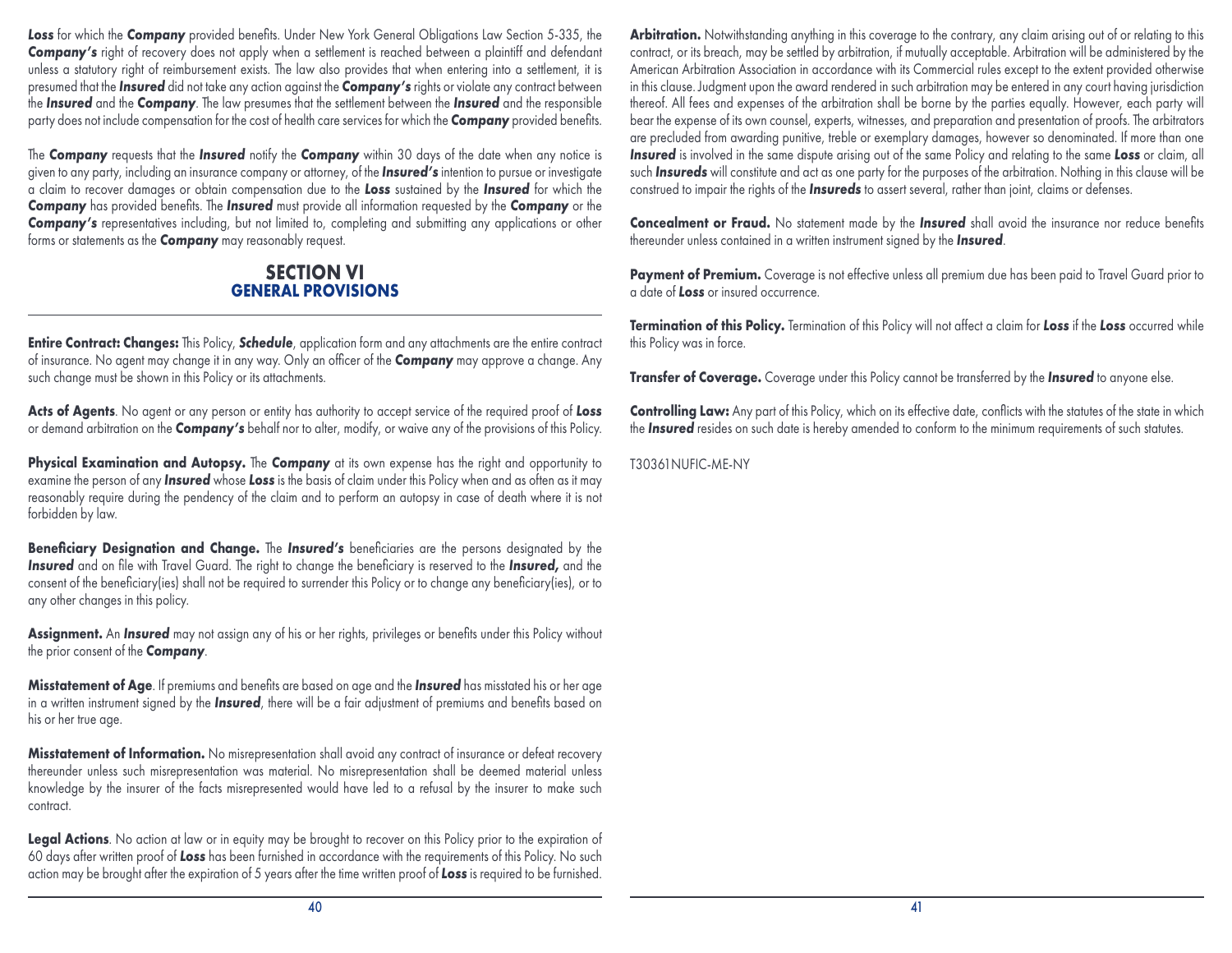Loss for which the **Company** provided benefits. Under New York General Obligations Law Section 5-335, the *Company's* right of recovery does not apply when a settlement is reached between a plaintiff and defendant unless a statutory right of reimbursement exists. The law also provides that when entering into a settlement, it is presumed that the *Insured* did not take any action against the *Company's* rights or violate any contract between the *Insured* and the *Company*. The law presumes that the settlement between the *Insured* and the responsible party does not include compensation for the cost of health care services for which the *Company* provided benefits.

The *Company* requests that the *Insured* notify the *Company* within 30 days of the date when any notice is given to any party, including an insurance company or attorney, of the *Insured's* intention to pursue or investigate a claim to recover damages or obtain compensation due to the *Loss* sustained by the *Insured* for which the *Company* has provided benefits. The *Insured* must provide all information requested by the *Company* or the **Company's** representatives including, but not limited to, completing and submitting any applications or other forms or statements as the *Company* may reasonably request.

## **SECTION VI GENERAL PROVISIONS**

**Entire Contract: Changes:** This Policy, *Schedule*, application form and any attachments are the entire contract of insurance. No agent may change it in any way. Only an officer of the *Company* may approve a change. Any such change must be shown in this Policy or its attachments.

**Acts of Agents**. No agent or any person or entity has authority to accept service of the required proof of *Loss* or demand arbitration on the *Company's* behalf nor to alter, modify, or waive any of the provisions of this Policy.

**Physical Examination and Autopsy.** The *Company* at its own expense has the right and opportunity to examine the person of any *Insured* whose *Loss* is the basis of claim under this Policy when and as often as it may reasonably require during the pendency of the claim and to perform an autopsy in case of death where it is not forbidden by law.

**Beneficiary Designation and Change.** The *Insured's* beneficiaries are the persons designated by the *Insured* and on file with Travel Guard. The right to change the beneficiary is reserved to the *Insured,* and the consent of the beneficiary(ies) shall not be required to surrender this Policy or to change any beneficiary(ies), or to any other changes in this policy.

**Assignment.** An *Insured* may not assign any of his or her rights, privileges or benefits under this Policy without the prior consent of the *Company*.

**Misstatement of Age**. If premiums and benefits are based on age and the *Insured* has misstated his or her age in a written instrument signed by the *Insured*, there will be a fair adjustment of premiums and benefits based on his or her true age.

Misstatement of Information. No misrepresentation shall avoid any contract of insurance or defeat recovery thereunder unless such misrepresentation was material. No misrepresentation shall be deemed material unless knowledge by the insurer of the facts misrepresented would have led to a refusal by the insurer to make such contract.

Legal Actions. No action at law or in equity may be brought to recover on this Policy prior to the expiration of 60 days after written proof of *Loss* has been furnished in accordance with the requirements of this Policy. No such action may be brought after the expiration of 5 years after the time written proof of *Loss* is required to be furnished.

Arbitration. Notwithstanding anything in this coverage to the contrary, any claim arising out of or relating to this contract, or its breach, may be settled by arbitration, if mutually acceptable. Arbitration will be administered by the American Arbitration Association in accordance with its Commercial rules except to the extent provided otherwise in this clause. Judgment upon the award rendered in such arbitration may be entered in any court having jurisdiction thereof. All fees and expenses of the arbitration shall be borne by the parties equally. However, each party will bear the expense of its own counsel, experts, witnesses, and preparation and presentation of proofs. The arbitrators are precluded from awarding punitive, treble or exemplary damages, however so denominated. If more than one *Insured* is involved in the same dispute arising out of the same Policy and relating to the same *Loss* or claim, all such *Insureds* will constitute and act as one party for the purposes of the arbitration. Nothing in this clause will be construed to impair the rights of the *Insureds* to assert several, rather than joint, claims or defenses.

**Concealment or Fraud.** No statement made by the *Insured* shall avoid the insurance nor reduce benefits thereunder unless contained in a written instrument signed by the *Insured*.

Payment of Premium. Coverage is not effective unless all premium due has been paid to Travel Guard prior to a date of *Loss* or insured occurrence.

**Termination of this Policy.** Termination of this Policy will not affect a claim for *Loss* if the *Loss* occurred while this Policy was in force.

**Transfer of Coverage.** Coverage under this Policy cannot be transferred by the *Insured* to anyone else.

**Controlling Law:** Any part of this Policy, which on its effective date, conflicts with the statutes of the state in which the *Insured* resides on such date is hereby amended to conform to the minimum requirements of such statutes.

T30361NUFIC-ME-NY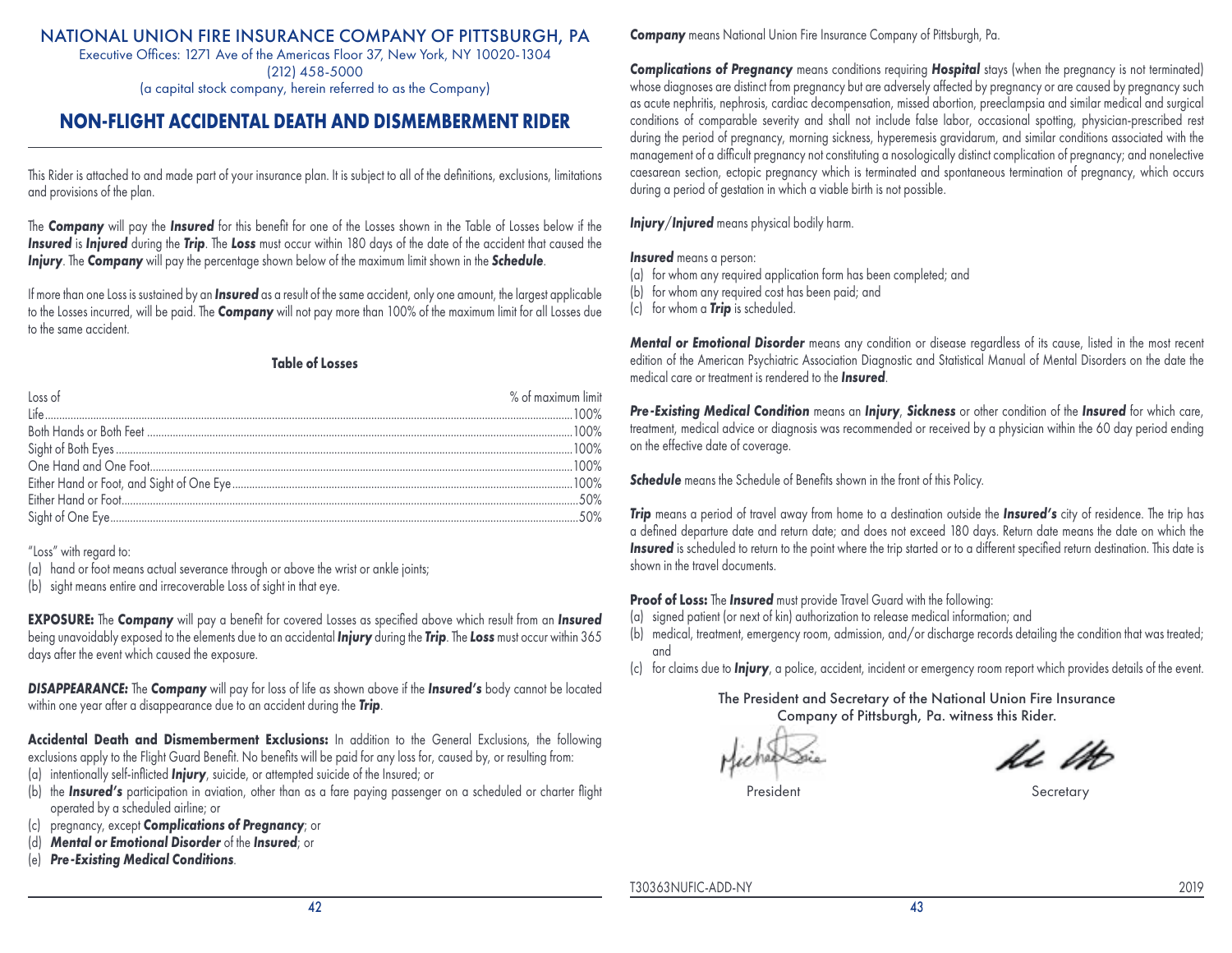Executive Offices: 1271 Ave of the Americas Floor 37, New York, NY 10020-1304 (212) 458-5000 (a capital stock company, herein referred to as the Company)

## **NON-FLIGHT ACCIDENTAL DEATH AND DISMEMBERMENT RIDER**

This Rider is attached to and made part of your insurance plan. It is subject to all of the definitions, exclusions, limitations and provisions of the plan.

The *Company* will pay the *Insured* for this benefit for one of the Losses shown in the Table of Losses below if the *Insured* is *Injured* during the *Trip*. The *Loss* must occur within 180 days of the date of the accident that caused the *Injury*. The *Company* will pay the percentage shown below of the maximum limit shown in the *Schedule*.

If more than one Loss is sustained by an *Insured* as a result of the same accident, only one amount, the largest applicable to the Losses incurred, will be paid. The *Company* will not pay more than 100% of the maximum limit for all Losses due to the same accident.

#### **Table of Losses**

| Loss of | $%$ of maximum limit |
|---------|----------------------|
|         |                      |
|         |                      |
|         |                      |
|         |                      |
|         |                      |
|         |                      |
|         |                      |

"Loss" with regard to:

(a) hand or foot means actual severance through or above the wrist or ankle joints;

(b) sight means entire and irrecoverable Loss of sight in that eye.

**EXPOSURE:** The *Company* will pay a benefit for covered Losses as specified above which result from an *Insured* being unavoidably exposed to the elements due to an accidental *Injury* during the *Trip*. The *Loss* must occur within 365 days after the event which caused the exposure.

*DISAPPEARANCE:* The *Company* will pay for loss of life as shown above if the *Insured's* body cannot be located within one year after a disappearance due to an accident during the *Trip*.

**Accidental Death and Dismemberment Exclusions:** In addition to the General Exclusions, the following exclusions apply to the Flight Guard Benefit. No benefits will be paid for any loss for, caused by, or resulting from:

- (a) intentionally self-inflicted *Injury*, suicide, or attempted suicide of the Insured; or
- (b) the *Insured's* participation in aviation, other than as a fare paying passenger on a scheduled or charter flight operated by a scheduled airline; or
- (c) pregnancy, except *Complications of Pregnancy*; or
- (d) *Mental or Emotional Disorder* of the *Insured*; or
- (e) *Pre-Existing Medical Conditions*.

**Company** means National Union Fire Insurance Company of Pittsburgh, Pa.

*Complications of Pregnancy* means conditions requiring *Hospital* stays (when the pregnancy is not terminated) whose diagnoses are distinct from pregnancy but are adversely affected by pregnancy or are caused by pregnancy such as acute nephritis, nephrosis, cardiac decompensation, missed abortion, preeclampsia and similar medical and surgical conditions of comparable severity and shall not include false labor, occasional spotting, physician-prescribed rest during the period of pregnancy, morning sickness, hyperemesis gravidarum, and similar conditions associated with the management of a difficult pregnancy not constituting a nosologically distinct complication of pregnancy; and nonelective caesarean section, ectopic pregnancy which is terminated and spontaneous termination of pregnancy, which occurs during a period of gestation in which a viable birth is not possible.

*Injury*/*Injured* means physical bodily harm.

#### *Insured* means a person:

(a) for whom any required application form has been completed; and

- (b) for whom any required cost has been paid; and
- (c) for whom a *Trip* is scheduled.

*Mental or Emotional Disorder* means any condition or disease regardless of its cause, listed in the most recent edition of the American Psychiatric Association Diagnostic and Statistical Manual of Mental Disorders on the date the medical care or treatment is rendered to the *Insured*.

*Pre-Existing Medical Condition* means an *Injury*, *Sickness* or other condition of the *Insured* for which care, treatment, medical advice or diagnosis was recommended or received by a physician within the 60 day period ending on the effective date of coverage.

**Schedule** means the Schedule of Benefits shown in the front of this Policy.

*Trip* means a period of travel away from home to a destination outside the *Insured's* city of residence. The trip has a defined departure date and return date; and does not exceed 180 days. Return date means the date on which the *Insured* is scheduled to return to the point where the trip started or to a different specified return destination. This date is shown in the travel documents.

**Proof of Loss:** The *Insured* must provide Travel Guard with the following:

(a) signed patient (or next of kin) authorization to release medical information; and

(b) medical, treatment, emergency room, admission, and/or discharge records detailing the condition that was treated; and

(c) for claims due to *Injury*, a police, accident, incident or emergency room report which provides details of the event.

The President and Secretary of the National Union Fire Insurance Company of Pittsburgh, Pa. witness this Rider.

is lo

President Secretary

T30363NUFIC-ADD-NY 2019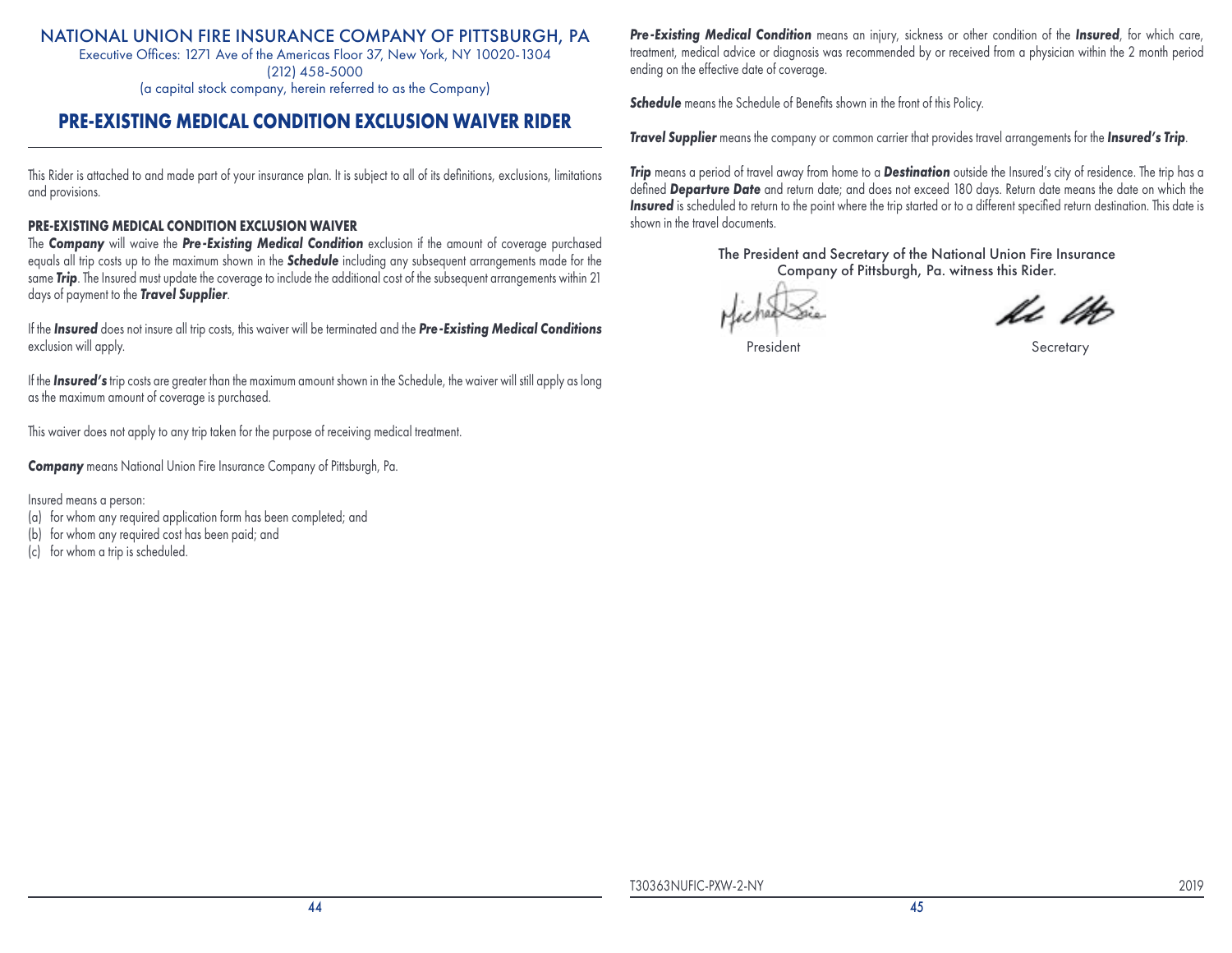Executive Offices: 1271 Ave of the Americas Floor 37, New York, NY 10020-1304 (212) 458-5000

(a capital stock company, herein referred to as the Company)

## **PRE-EXISTING MEDICAL CONDITION EXCLUSION WAIVER RIDER**

This Rider is attached to and made part of your insurance plan. It is subject to all of its definitions, exclusions, limitations and provisions.

## **PRE-EXISTING MEDICAL CONDITION EXCLUSION WAIVER**

The *Company* will waive the *Pre-Existing Medical Condition* exclusion if the amount of coverage purchased equals all trip costs up to the maximum shown in the *Schedule* including any subsequent arrangements made for the same *Trip*. The Insured must update the coverage to include the additional cost of the subsequent arrangements within 21 days of payment to the *Travel Supplier*.

If the *Insured* does not insure all trip costs, this waiver will be terminated and the *Pre-Existing Medical Conditions* exclusion will apply.

If the *Insured's* trip costs are greater than the maximum amount shown in the Schedule, the waiver will still apply as long as the maximum amount of coverage is purchased.

This waiver does not apply to any trip taken for the purpose of receiving medical treatment.

*Company* means National Union Fire Insurance Company of Pittsburgh, Pa.

Insured means a person:

- (a) for whom any required application form has been completed; and
- (b) for whom any required cost has been paid; and
- (c) for whom a trip is scheduled.

*Pre-Existing Medical Condition* means an injury, sickness or other condition of the *Insured*, for which care, treatment, medical advice or diagnosis was recommended by or received from a physician within the 2 month period ending on the effective date of coverage.

**Schedule** means the Schedule of Benefits shown in the front of this Policy.

*Travel Supplier* means the company or common carrier that provides travel arrangements for the *Insured's Trip*.

*Trip* means a period of travel away from home to a *Destination* outside the Insured's city of residence. The trip has a defined *Departure Date* and return date; and does not exceed 180 days. Return date means the date on which the *Insured* is scheduled to return to the point where the trip started or to a different specified return destination. This date is shown in the travel documents.

v. lo

President Secretary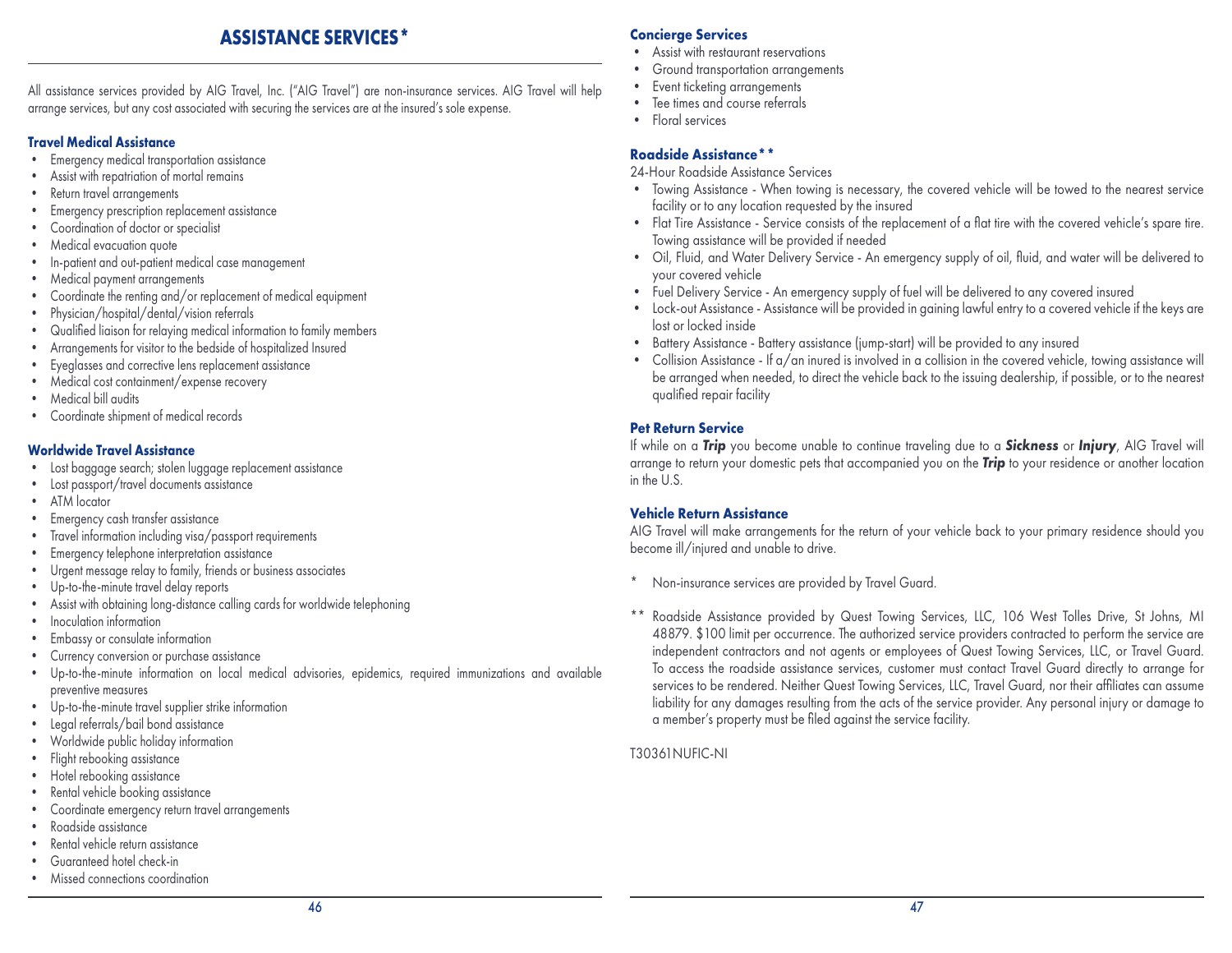## **ASSISTANCE SERVICES\***

All assistance services provided by AIG Travel, Inc. ("AIG Travel") are non-insurance services. AIG Travel will help arrange services, but any cost associated with securing the services are at the insured's sole expense.

#### **Travel Medical Assistance**

- Emergency medical transportation assistance
- Assist with repatriation of mortal remains
- Return travel arrangements
- Emergency prescription replacement assistance
- Coordination of doctor or specialist
- Medical evacuation quote
- In-patient and out-patient medical case management
- Medical payment arrangements
- Coordinate the renting and/or replacement of medical equipment
- Physician/hospital/dental/vision referrals
- Qualified liaison for relaying medical information to family members
- Arrangements for visitor to the bedside of hospitalized Insured
- Eyeglasses and corrective lens replacement assistance
- Medical cost containment/expense recovery
- Medical bill audits
- Coordinate shipment of medical records

## **Worldwide Travel Assistance**

- Lost baggage search; stolen luggage replacement assistance
- Lost passport/travel documents assistance
- ATM locator
- Emergency cash transfer assistance
- Travel information including visa/passport requirements
- Emergency telephone interpretation assistance
- Urgent message relay to family, friends or business associates
- Up-to-the-minute travel delay reports
- Assist with obtaining long-distance calling cards for worldwide telephoning
- Inoculation information
- Embassy or consulate information
- Currency conversion or purchase assistance
- Up-to-the-minute information on local medical advisories, epidemics, required immunizations and available preventive measures
- Up-to-the-minute travel supplier strike information
- Legal referrals/bail bond assistance
- Worldwide public holiday information
- Flight rebooking assistance
- Hotel rebooking assistance
- Rental vehicle booking assistance
- Coordinate emergency return travel arrangements
- Roadside assistance
- Rental vehicle return assistance
- Guaranteed hotel check-in
- Missed connections coordination

## **Concierge Services**

- Assist with restaurant reservations
- Ground transportation arrangements
- Event ticketing arrangements
- Tee times and course referrals
- Floral services

## **Roadside Assistance\*\***

24-Hour Roadside Assistance Services

- Towing Assistance When towing is necessary, the covered vehicle will be towed to the nearest service facility or to any location requested by the insured
- Flat Tire Assistance Service consists of the replacement of a flat tire with the covered vehicle's spare tire. Towing assistance will be provided if needed
- Oil, Fluid, and Water Delivery Service An emergency supply of oil, fluid, and water will be delivered to your covered vehicle
- Fuel Delivery Service An emergency supply of fuel will be delivered to any covered insured
- Lock-out Assistance Assistance will be provided in gaining lawful entry to a covered vehicle if the keys are lost or locked inside
- Battery Assistance Battery assistance (jump-start) will be provided to any insured
- Collision Assistance If a/an inured is involved in a collision in the covered vehicle, towing assistance will be arranged when needed, to direct the vehicle back to the issuing dealership, if possible, or to the nearest qualified repair facility

## **Pet Return Service**

If while on a *Trip* you become unable to continue traveling due to a *Sickness* or *Injury*, AIG Travel will arrange to return your domestic pets that accompanied you on the *Trip* to your residence or another location in the U.S.

## **Vehicle Return Assistance**

AIG Travel will make arrangements for the return of your vehicle back to your primary residence should you become ill/injured and unable to drive.

- Non-insurance services are provided by Travel Guard.
- Roadside Assistance provided by Quest Towing Services, LLC, 106 West Tolles Drive, St Johns, MI 48879. \$100 limit per occurrence. The authorized service providers contracted to perform the service are independent contractors and not agents or employees of Quest Towing Services, LLC, or Travel Guard. To access the roadside assistance services, customer must contact Travel Guard directly to arrange for services to be rendered. Neither Quest Towing Services, LLC, Travel Guard, nor their affiliates can assume liability for any damages resulting from the acts of the service provider. Any personal injury or damage to a member's property must be filed against the service facility.

## T30361NUFIC-NI